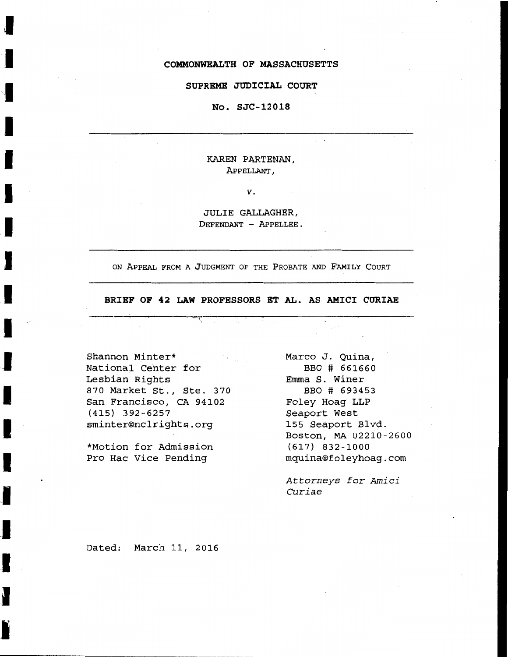#### **COMMONWEALTH OF MASSACHUSETTS**

#### **SUPREME JUDICIAL COURT**

#### **No. SJC-12018**

KAREN PARTENAN, APPELLANT,

*v.* 

JULIE GALLAGHER, DEFENDANT - APPELLEE.

ON APPEAL FROM A JUDGMENT OF THE PROBATE AND FAMILY COURT

**BRIEF OF 42 LAW PROFESSORS ET AL. AS AMICI CURIAE** 

------~--~-------~------~------------------~---------

Shannon Minter\* National Center for Lesbian Rights 870 Market St., Ste. 370 San Francisco, CA 94102 (415) 392-6257 sminter®nclrights.org

I

I

I

I

I

I

I

**-1** 

I

I

I

**.I** 

I

I

I

\*Motion for Admission Pro Hac Vice Pending

Marco J. Quina, BBO # 661660 Emma S. Winer BBO # 693453 Foley Haag LLP Seaport West 155 Seaport Blvd. Boston, MA 02210-2600 (617) 832-1000 mquina®foleyhoag.com

*Attorneys for Amici Curiae* 

Dated: March 11, 2016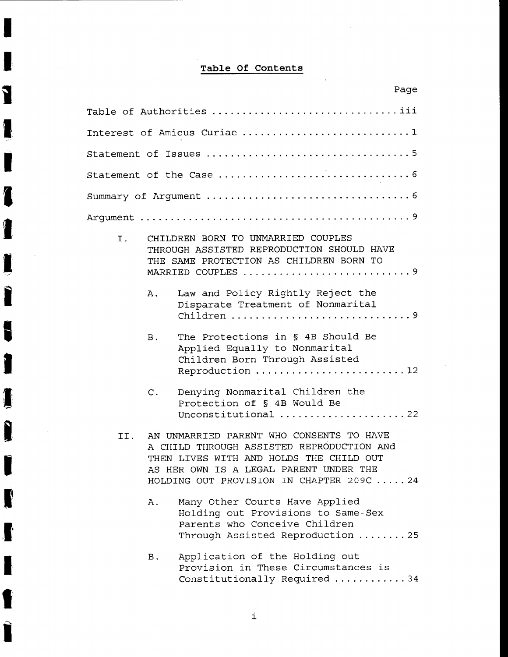# **Table Of Contents**

 $\bar{z}$ 

I

I

1

1

I

I

I

**I** 

 $\bar{\beta}$ 

I

**I** 

I

I

I

I

**.lj** 

I

,,

| Page                                                                                                                                                                                                                           |
|--------------------------------------------------------------------------------------------------------------------------------------------------------------------------------------------------------------------------------|
| Table of Authorities iii                                                                                                                                                                                                       |
| Interest of Amicus Curiae 1                                                                                                                                                                                                    |
|                                                                                                                                                                                                                                |
|                                                                                                                                                                                                                                |
|                                                                                                                                                                                                                                |
|                                                                                                                                                                                                                                |
| CHILDREN BORN TO UNMARRIED COUPLES<br>Ι.<br>THROUGH ASSISTED REPRODUCTION SHOULD HAVE<br>THE SAME PROTECTION AS CHILDREN BORN TO<br>MARRIED COUPLES 9                                                                          |
| Law and Policy Rightly Reject the<br>Α.<br>Disparate Treatment of Nonmarital                                                                                                                                                   |
| The Protections in § 4B Should Be<br><b>B</b> .<br>Applied Equally to Nonmarital<br>Children Born Through Assisted<br>Reproduction  12                                                                                         |
| Denying Nonmarital Children the<br>$C_{++}$<br>Protection of § 4B Would Be<br>Unconstitutional 22                                                                                                                              |
| AN UNMARRIED PARENT WHO CONSENTS TO HAVE<br>TT.<br>A CHILD THROUGH ASSISTED REPRODUCTION ANd<br>THEN LIVES WITH AND HOLDS THE CHILD OUT<br>AS HER OWN IS A LEGAL PARENT UNDER THE<br>HOLDING OUT PROVISION IN CHAPTER 209C  24 |
| Many Other Courts Have Applied<br>Α.<br>Holding out Provisions to Same-Sex<br>Parents who Conceive Children<br>Through Assisted Reproduction  25                                                                               |
| Application of the Holding out<br>в.<br>Provision in These Circumstances is<br>Constitutionally Required 34                                                                                                                    |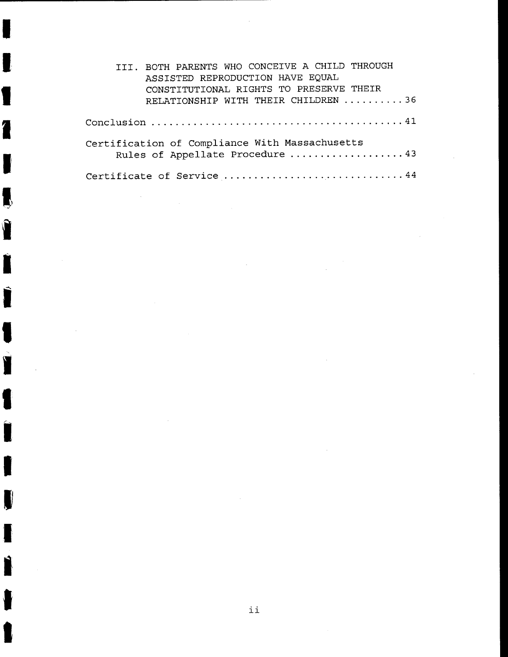| III. BOTH PARENTS WHO CONCEIVE A CHILD THROUGH<br>ASSISTED REPRODUCTION HAVE EQUAL         |
|--------------------------------------------------------------------------------------------|
| CONSTITUTIONAL RIGHTS TO PRESERVE THEIR<br>RELATIONSHIP WITH THEIR CHILDREN 36             |
|                                                                                            |
| Certification of Compliance With Massachusetts<br>Rules of Appellate Procedure  43         |
| Certificate of Service $\ldots \ldots \ldots \ldots \ldots \ldots \ldots \ldots \ldots 44$ |

 $\mathcal{L}^{\text{max}}_{\text{max}}$ 

 $\bar{\beta}$ 

 $\sim$ 

 $\mathcal{A}$ 

 $\sim$   $\sim$ 

 $\ddot{\phantom{1}}$ 

 $\frac{1}{2} \left( \frac{1}{2} \right)$ 

I

I

I

I

I

**I** 

I

I

I

I

a a an am an Dùbhad an Dùbhad an Dùbhad an Dùbhad an Dùbhad an Dùbhad an Dùbhad ann an Dùbhad an Dùbhad ann an<br>Tagairtí

 $\frac{1}{2}$ 

I

I

I

I

I

I

I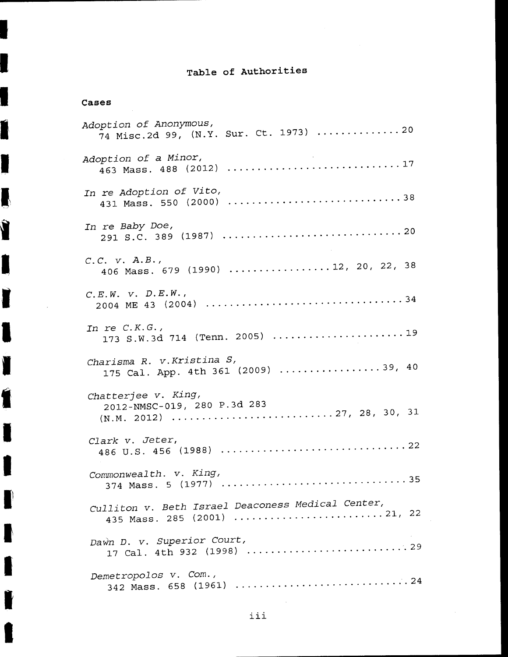# **Table of Authorities**

## **Cases**

I

Í

 $\blacksquare$ 

**1\** 

I

I

I

I

I

I

I

I

ll

I

I

I

| Adoption of Anonymous,<br>74 Misc.2d 99, (N.Y. Sur. Ct. 1973) 20                 |
|----------------------------------------------------------------------------------|
| Adoption of a Minor,<br>463 Mass. 488 (2012) 17                                  |
| In re Adoption of Vito,<br>431 Mass. 550 (2000) 38                               |
| In re Baby Doe,                                                                  |
| $C.C.$ $V.$ $A.B.,$<br>406 Mass. 679 (1990) 12, 20, 22, 38                       |
| C.E.W. V. D.E.W.                                                                 |
| In re $C.K.G.$ ,<br>173 S.W.3d 714 (Tenn. 2005) 19                               |
| Charisma R. v. Kristina S,<br>175 Cal. App. 4th 361 (2009) 39, 40                |
| Chatterjee v. King,<br>2012-NMSC-019, 280 P.3d 283                               |
| Clark v. Jeter,                                                                  |
| Commonwealth. v. King,                                                           |
| Culliton v. Beth Israel Deaconess Medical Center,<br>435 Mass. 285 (2001) 21, 22 |
| Dawn D. v. Superior Court,                                                       |
| Demetropolos v. Com.,                                                            |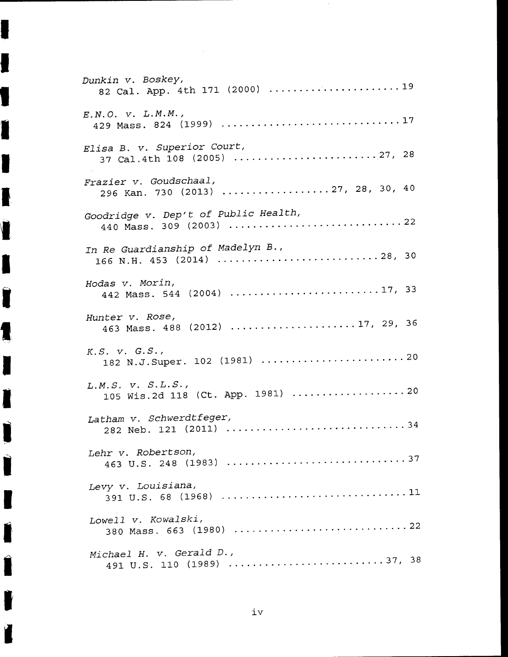| Dunkin v. Boskey,<br>82 Cal. App. 4th 171 (2000)  19         |
|--------------------------------------------------------------|
| $E.N.O.$ $V.$ $L.M.M.$ ,                                     |
| Elisa B. v. Superior Court,<br>37 Cal.4th 108 (2005) 27, 28  |
| Frazier v. Goudschaal,<br>296 Kan. 730 (2013) 27, 28, 30, 40 |
| Goodridge v. Dep't of Public Health,                         |
| In Re Guardianship of Madelyn B.,                            |
| Hodas v. Morin,                                              |
| Hunter v. Rose,<br>463 Mass. 488 (2012) 17, 29, 36           |
| K.S. V. G.S.                                                 |
| L.M.S. V. S.L.S.                                             |
| Latham v. Schwerdtfeger,                                     |
| Lehr v. Robertson,                                           |
| Levy v. Louisiana,                                           |
| Lowell v. Kowalski,                                          |
| Michael H. v. Gerald D.,                                     |

I

I

I

I

I

I

I

I

I

I

I

I

**J** 

I

I

**I'** 

I

 $\mathcal{I}$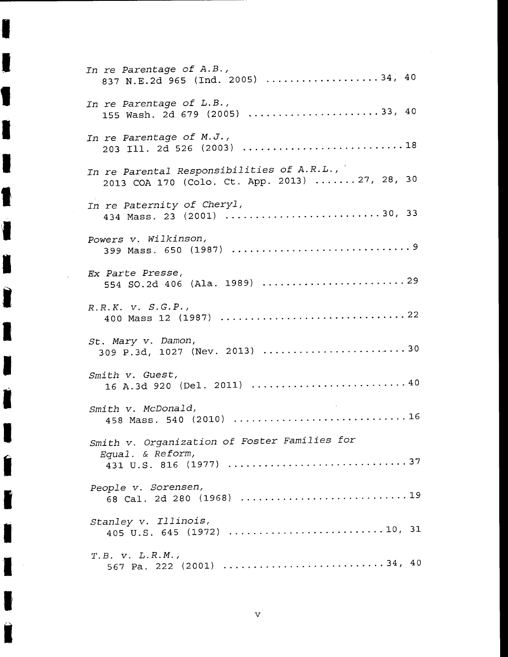| In re Parentage of A.B.,<br>837 N.E.2d 965 (Ind. 2005) 34, 40                                |
|----------------------------------------------------------------------------------------------|
| In re Parentage of L.B.,<br>155 Wash. 2d 679 (2005) 33, 40                                   |
| In re Parentage of M.J.,                                                                     |
| In re Parental Responsibilities of A.R.L.,<br>2013 COA 170 (Colo. Ct. App. 2013)  27, 28, 30 |
| In re Paternity of Cheryl,<br>434 Mass. 23 (2001) 30, 33                                     |
| Powers v. Wilkinson,                                                                         |
| Ex Parte Presse,                                                                             |
| $R.R.K.$ $V. S.G.P.$                                                                         |
| St. Mary v. Damon,<br>309 P.3d, 1027 (Nev. 2013) 30                                          |
| Smith v. Guest,                                                                              |
| Smith v. McDonald,<br>458 Mass. 540 (2010)  16                                               |
| Smith v. Organization of Foster Families for<br>Equal. & Reform,                             |
| People v. Sorensen,                                                                          |
| Stanley v. Illinois,                                                                         |
| T.B. V. L.R.M.<br>567 Pa. 222 (2001) 34, 40                                                  |

I

I

I

I

I

I

I

I

I

I

I

I

I

I

I

I

**.I** 

I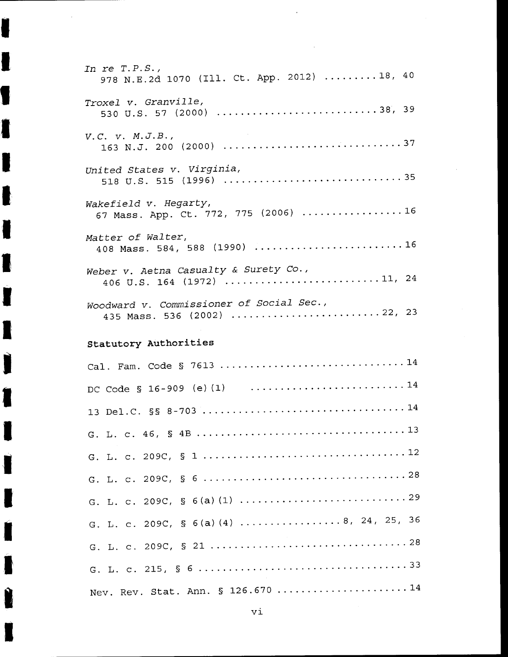| In re $T.P.S.$ ,<br>978 N.E.2d 1070 (Ill. Ct. App. 2012)  18, 40                      |
|---------------------------------------------------------------------------------------|
| Troxel v. Granville,<br>530 U.S. 57 (2000) 38, 39                                     |
| V.C. V. M.J.B.,                                                                       |
| United States v. Virginia,                                                            |
| Wakefield v. Hegarty,<br>67 Mass. App. Ct. 772, 775 (2006) 16                         |
| Matter of Walter,<br>408 Mass. 584, 588 (1990) 16                                     |
| Weber v. Aetna Casualty & Surety Co.,<br>406 U.S. 164 (1972) 11, 24                   |
| Woodward v. Commissioner of Social Sec.,<br>435 Mass. 536 (2002) 22, 23               |
| Statutory Authorities                                                                 |
| Cal. Fam. Code § 7613 14                                                              |
| DC Code § 16-909 (e) (1) $\ldots \ldots \ldots \ldots \ldots \ldots \ldots \ldots 14$ |
|                                                                                       |
|                                                                                       |
|                                                                                       |
|                                                                                       |
|                                                                                       |
| G. L. c. 209C, § 6(a)(4) 8, 24, 25, 36                                                |
|                                                                                       |
|                                                                                       |
| Nev. Rev. Stat. Ann. § 126.670 14                                                     |

l,

I

 $\bar{z}$ 

I

I

I

I

l

I

I

I

**I,** 

I

I

I

I

I

I

I

I

I

vi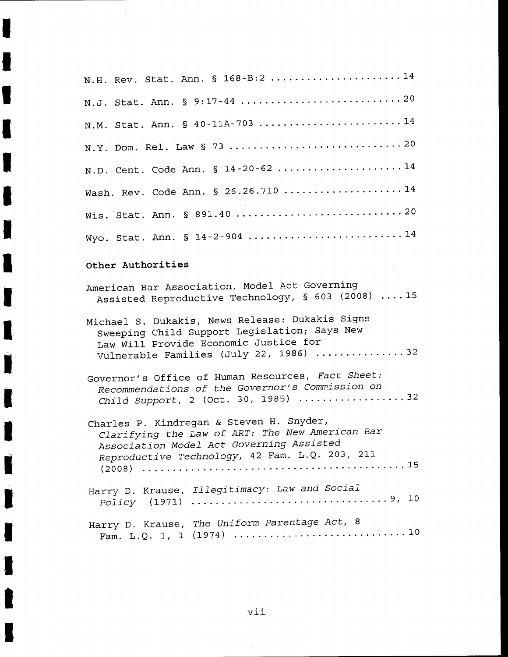| N.H. Rev. Stat. Ann. § 168-B:2 14                                                                                                                                                         |
|-------------------------------------------------------------------------------------------------------------------------------------------------------------------------------------------|
|                                                                                                                                                                                           |
| N.M. Stat. Ann. § 40-11A-703 14                                                                                                                                                           |
|                                                                                                                                                                                           |
| N.D. Cent. Code Ann. § 14-20-62 14                                                                                                                                                        |
| Wash. Rev. Code Ann. § 26.26.710 14                                                                                                                                                       |
|                                                                                                                                                                                           |
| Wyo. Stat. Ann. § 14-2-904 14                                                                                                                                                             |
| Other Authorities                                                                                                                                                                         |
| American Bar Association, Model Act Governing<br>Assisted Reproductive Technology, § 603 (2008) 15                                                                                        |
| Michael S. Dukakis, News Release: Dukakis Signs<br>Sweeping Child Support Legislation; Says New<br>Law Will Provide Economic Justice for<br>Vulnerable Families (July 22, 1986) 32        |
| Governor's Office of Human Resources, Fact Sheet:<br>Recommendations of the Governor's Commission on<br>Child Support, 2 (Oct. 30, 1985) $\ldots$ 32                                      |
| Charles P. Kindregan & Steven H. Snyder,<br>Clarifying the Law of ART: The New American Bar<br>Association Model Act Governing Assisted<br>Reproductive Technology, 42 Fam. L.Q. 203, 211 |
| Harry D. Krause, Illegitimacy: Law and Social<br>Policy (1971) $\ldots$ 9, 10                                                                                                             |
| Harry D. Krause, The Uniform Parentage Act, 8                                                                                                                                             |

I

I

I

I

I

I

I

I

I

I

I

 $\bar{\beta}$ 

I

I

I

I

I

I

I

I

 $\hat{\mathcal{A}}$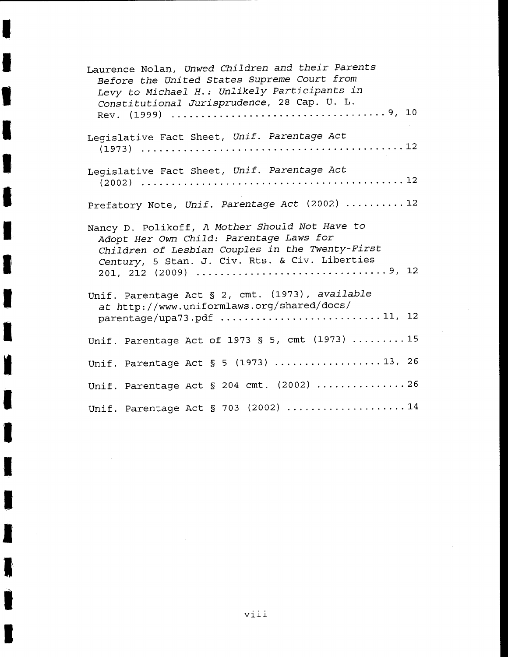| Laurence Nolan, Unwed Children and their Parents<br>Before the United States Supreme Court from<br>Levy to Michael H.: Unlikely Participants in<br>Constitutional Jurisprudence, 28 Cap. U. L.                          |
|-------------------------------------------------------------------------------------------------------------------------------------------------------------------------------------------------------------------------|
| Legislative Fact Sheet, Unif. Parentage Act                                                                                                                                                                             |
| Legislative Fact Sheet, Unif. Parentage Act                                                                                                                                                                             |
| Prefatory Note, Unif. Parentage Act (2002)  12                                                                                                                                                                          |
| Nancy D. Polikoff, A Mother Should Not Have to<br>Adopt Her Own Child: Parentage Laws for<br>Children of Lesbian Couples in the Twenty-First<br>Century, 5 Stan. J. Civ. Rts. & Civ. Liberties<br>201, 212 (2009) 9, 12 |
| Unif. Parentage Act § 2, cmt. (1973), available<br>at http://www.uniformlaws.org/shared/docs/<br>parentage/upa73.pdf 11, 12                                                                                             |
| Unif. Parentage Act of 1973 § 5, cmt (1973)  15                                                                                                                                                                         |
| Unif. Parentage Act § 5 (1973) 13, 26                                                                                                                                                                                   |
| Unif. Parentage Act § 204 cmt. (2002) 26                                                                                                                                                                                |
| Unif. Parentage Act § 703 (2002) 14                                                                                                                                                                                     |

I

I

I

I

I

I

I

I

I

I

**l** 

I

I

I

I

I

**IN** 

I

I

viii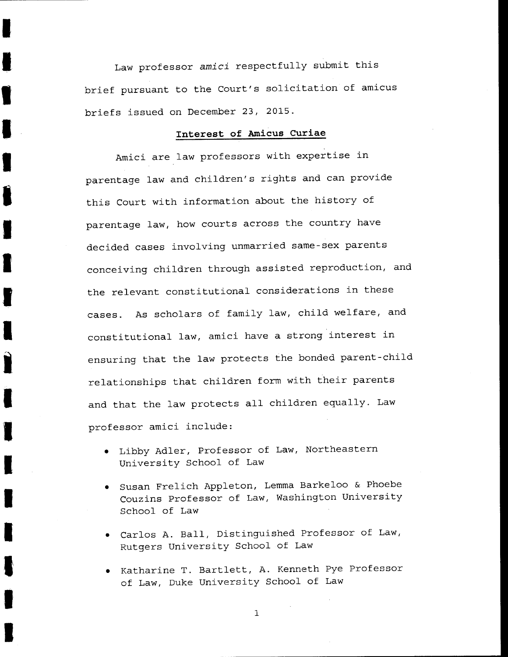Law professor *amici* respectfully submit this brief pursuant to the Court's solicitation of amicus briefs issued on December 23, 2015.

I

I

I

**I** 

I

I

I

I

I

I

**i** 

I

I

I

I

I

I

I

I

## **Interest of Amicus Curiae**

Amici are law professors with expertise in parentage law and children's rights and can provide this Court with information about the history of parentage law, how courts across the country have decided cases involving unmarried same-sex parents conceiving children through assisted reproduction, and the relevant constitutional considerations in these cases. As scholars of family law, child welfare, and constitutional law, amici have a strong interest in ensuring that the law protects the bonded parent-child relationships that children form with their parents and that the law protects all children equally. Law professor amici include:

- Libby Adler, Professor of Law, Northeastern University School of Law
- Susan Frelich Appleton, Lemma Barkeloo & Phoebe Couzins Professor of Law, Washington University School of Law
- Carlos A. Ball, Distinguished Professor of Law, Rutgers University School of Law
- Katharine T. Bartlett, A. Kenneth Pye Professor of Law, Duke University School of Law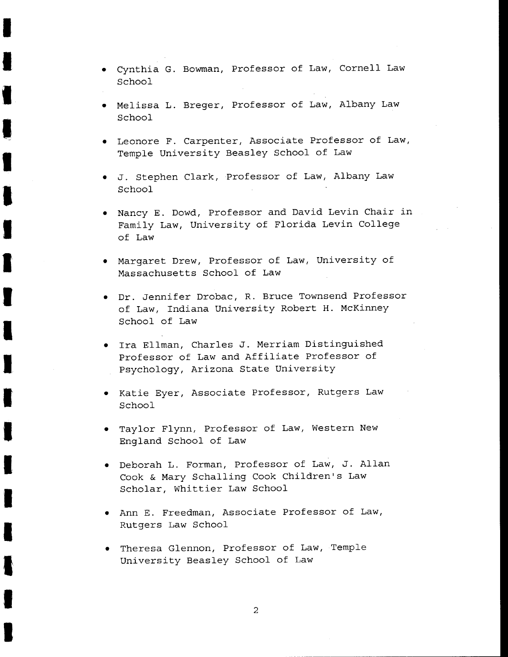• Cynthia G. Bowman, Professor of Law, Cornell Law School

I

I

I

**'**<br>1

I

I

I

I

I

I

I

I

I

I

I

I

I

- Melissa L. Breger, Professor of Law, Albany Law School
- Leonore F. Carpenter, Associate Professor of Law, Temple University Beasley School of Law
- J. Stephen Clark, Professor of Law, Albany Law School
- Nancy E. Dowd, Professor and David Levin Chair in Family Law, University of Florida Levin College of Law
- Margaret Drew, Professor of Law, University of Massachusetts School of Law
- Dr. Jennifer Drobac, R. Bruce Townsend Professor of Law, Indiana University Robert H. McKinney School of Law
- Ira Ellman, Charles J. Merriam Distinguished Professor of Law and Affiliate Professor of Psychology, Arizona State University
- Katie Eyer, Associate Professor, Rutgers Law School
- Taylor Flynn, Professor of Law, Western New England School of Law
- Deborah L. Forman, Professor of Law, J. Allan Cook & Mary Schalling Cook Children's Law Scholar, Whittier Law School
- Ann E. Freedman, Associate Professor of Law, Rutgers Law School
- Theresa Glennon, Professor of Law, Temple University Beasley School of Law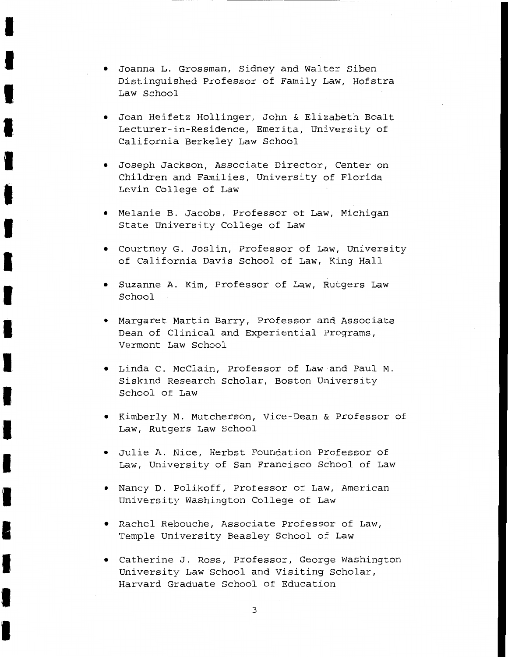• Joanna L. Grossman, Sidney and Walter Siben Distinguished Professor of Family Law, Hofstra Law School

I

I

I

I

I

I

I

I

I

I

I

I

I

I

I

I

I

I

I

- Joan Heifetz Hollinger, John & Elizabeth Boalt Lecturer-in-Residence, Emerita, University of California Berkeley Law School
- Joseph Jackson, Associate Director, Center on Children and Families, University of Florida Levin College of Law
- Melanie B. Jacobs, Professor of Law, Michigan State University College of Law
- Courtney G. Joslin, Professor of Law, University of California Davis School of Law, King Hall
- Suzanne A. Kim, Professor of Law, Rutgers Law School
- Margaret Martin Barry, Professor and Associate Dean of Clinical and Experiential Programs, Vermont Law School
- Linda C. McClain, Professor of Law and Paul M. Siskind Research Scholar, Boston University School of Law
- Kimberly M. Mutcherson, Vice-Dean & Professor of Law, Rutgers Law School
- Julie A. Nice, Herbst Foundation Professor of Law, University of San Francisco School of Law
- Nancy D. Polikoff, Professor of Law, American University Washington College of Law
- Rachel Rebouche, Associate Professor of Law, Temple University Beasley School of Law
- Catherine J. Ross, Professor, George Washington University Law School and Visiting Scholar, Harvard Graduate School of Education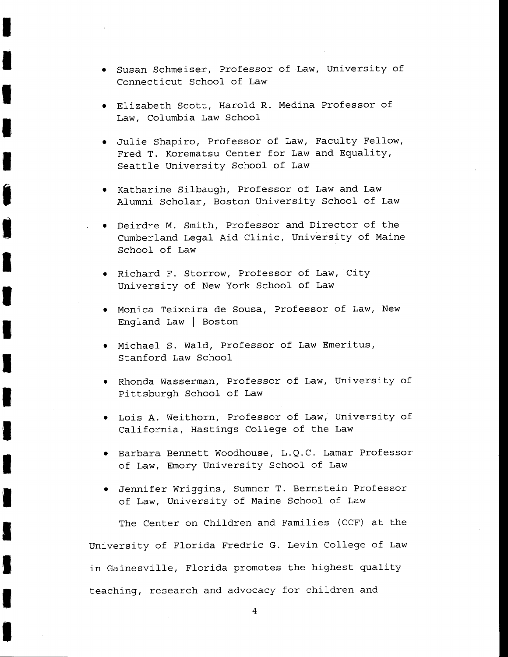• Susan Schmeiser, Professor of Law, University of Connecticut School of Law

I

I

I

I

I

i produkter i kommer van de kommer van de kommer van de kommer van de kommer van de kommer van de kommer van de<br>De kommer van de kommer van de kommer van de kommer van de kommer van de kommer van de kommer van de kommer va

I

I

I

I

I

I

I

I

I

I

I

I

I

- Elizabeth Scott, Harold R. Medina Professor of Law, Columbia Law School
- Julie Shapiro, Professor of Law, Faculty Fellow, Fred T. Korematsu Center for Law and Equality, Seattle University School of Law
- Katharine Silbaugh, Professor of Law and Law Alumni Scholar, Boston University School of Law
- Deirdre M. Smith, Professor and Director of the Cumberland Legal Aid Clinic, University of Maine School of Law
- Richard F. Storrow, Professor of Law, City University of New York School of Law
- Monica Teixeira de Sousa, Professor of Law, New England Law I Boston
- Michael S. Wald, Professor of Law Emeritus, Stanford Law School
- Rhonda Wasserman, Professor of Law, University of Pittsburgh School of Law
- Lois A. Weithorn, Professor of Law; University of California, Hastings College of the Law
- Barbara Bennett Woodhouse, L.Q.C. Lamar Professor of Law, Emory University School of Law
- Jennifer Wriggins, Sumner T. Bernstein Professor of Law, University of Maine School of Law

The Center on Children and Families (CCF) at the University of Florida Fredric G. Levin College of Law in Gainesville, Florida promotes the highest quality teaching, research and advocacy for children and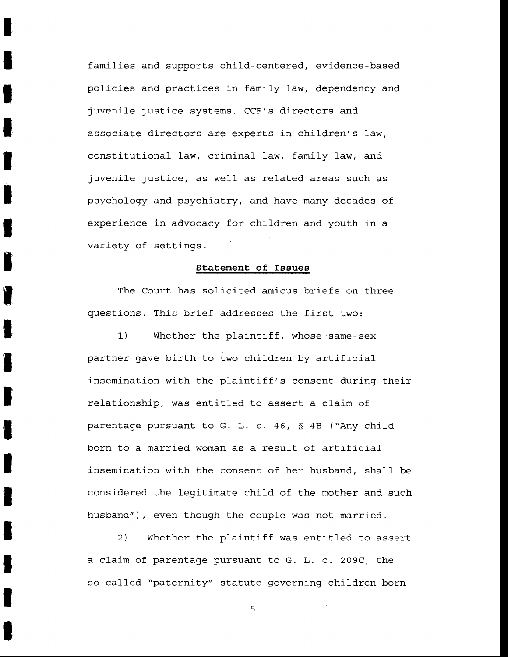families and supports child-centered, evidence-based policies and practices in family law, dependency and juvenile justice systems. CCF's directors and associate directors are experts in children's law, constitutional law, criminal law, family law, and juvenile justice, as well as related areas such as psychology and psychiatry, and have many decades of experience in advocacy for children and youth in a variety of settings.

I

I

I

I

I

**I** 

I

I

I

I

**I** 

I

I

I

I

I

I

I

I

#### **Statement of Issues**

The Court has solicited amicus briefs on three questions. This brief addresses the first two:

1) Whether the plaintiff, whose same-sex partner gave birth to two children by artificial insemination with the plaintiff's consent during their relationship, was entitled to assert a claim of parentage pursuant to G. L. c. 46, § 4B ("Any child born to a married woman as a result of artificial insemination with the consent of her husband, shall be considered the legitimate child of the mother and such husband"), even though the couple was not married.

2) Whether the plaintiff was entitled to assert a claim of parentage pursuant to G. L. c. 209C, the so-called "paternity" statute governing children born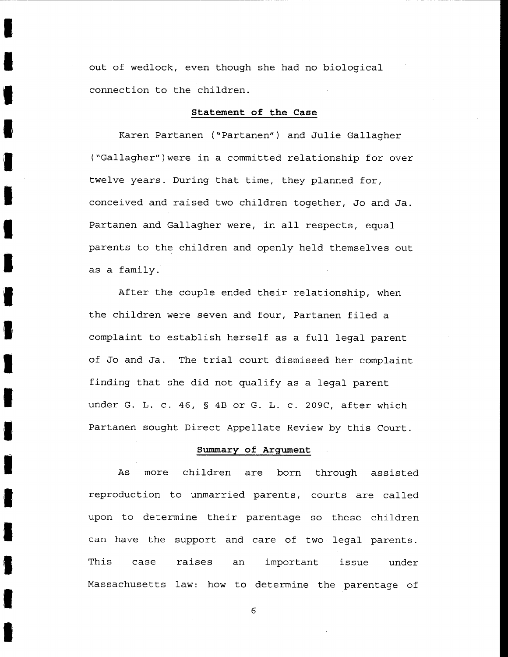out of wedlock, even though she had no biological connection to the children.

I

I

I

I

I

I

I

I

I

**I** 

I

I

I

I

I

**I** 

I

I

I

#### **Statement of the Case**

Karen Partanen ("Partanen") and Julie Gallagher ("Gallagher")were in a committed relationship for over twelve years. During that time, they planned for, conceived and raised two children together, Jo and Ja. Partanen and Gallagher were, in all respects, equal parents to the children and openly held themselves out as a family.

After the couple ended their relationship, when the children were seven and four, Partanen filed a complaint to establish herself as a full legal parent of Jo and Ja. The trial court dismissed her complaint finding that she did not qualify as a legal parent under G. L. c. 46, § 4B or G. L. c. 209C, after which Partanen sought Direct Appellate Review by this Court.

#### **Summary of Argument**

As more children are born through assisted reproduction to unmarried parents, courts are called upon to determine their parentage so these children can have the support and care of two. legal parents. This case Massachusetts law: how to determine the parentage of raises an important issue under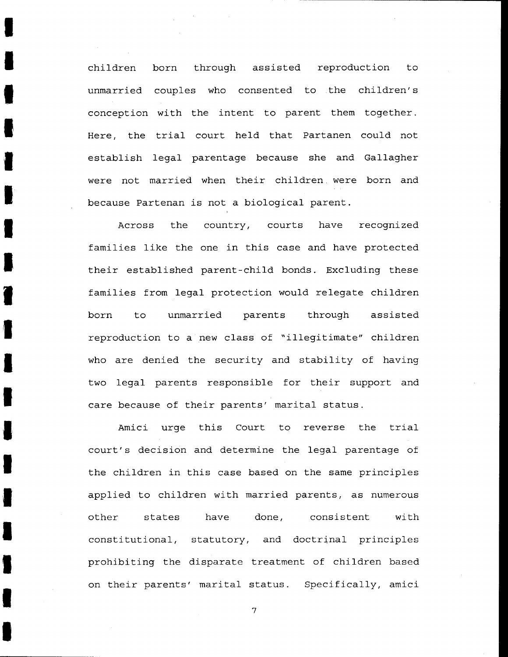children unmarried couples who consented to the children's conception with the intent to parent them together. Here, the trial court held that Partanen could not establish legal parentage because she and Gallagher born through assisted reproduction to were not married when their children. were born and because Partenan is not a biological parent.

I

I

**I** 

I

I

I

I

I

**T** 

I

I

I

I

I

I

I

I

I

I

Across the country, courts have recognized families like the one in this case and have protected their established parent-child bonds. Excluding these families from legal protection would relegate children born to unmarried parents through assisted reproduction to a new class of "illegitimate" children who are denied the security and stability of having two legal parents responsible for their support and care because of their parents' marital status.

Amici urge this Court to reverse the trial court's decision and determine the legal parentage of the children in this case based on the same principles applied to children with married parents, as numerous other states have done, consistent with constitutional, statutory, and doctrinal principles prohibiting the disparate treatment of children based on their parents' marital status. Specifically, amici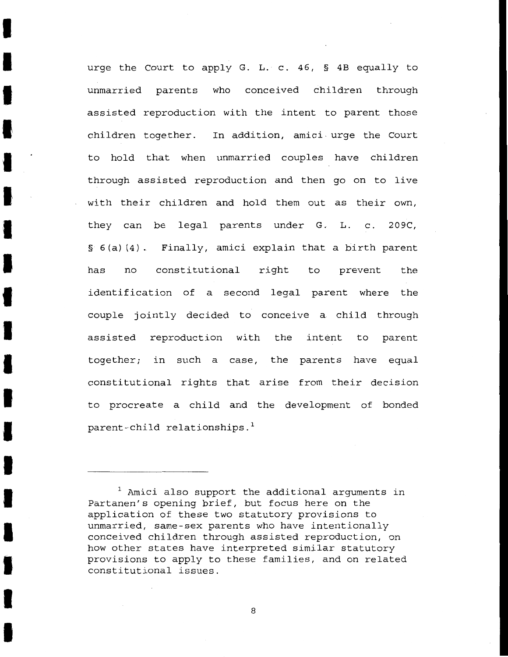urge the Court to apply G. L. c. 46, § 4B equally to unmarried parents who conceived children through assisted reproduction with the intent to parent those children together. In addition, amici- urge the Court to hold that when unmarried couples have children through assisted reproduction and then go on to live with their children and hold them out as their own, they can be legal parents under G. L. c. 209C, § 6(a) (4). Finally, amici explain that a birth parent has no constitutional right to prevent the identification of a second legal parent where the couple jointly decided to conceive a child through assisted reproduction with the intent to parent together; in such a case, the parents have equal constitutional rights that arise from their decision to procreate a child and the development of bonded parent-child relationships.<sup>1</sup>

I

I

I

I

I

I

I

I

I

I

I

I

I

I

I

I

I

I

I

 $1$  Amici also support the additional arguments in Partanen's opening brief, but focus here on the application of these two statutory provisions to unmarried, same-sex parents who have intentionally conceived children through assisted reproduction, on how other states have interpreted similar statutory provisions to apply to these families, and on related constitutional issues.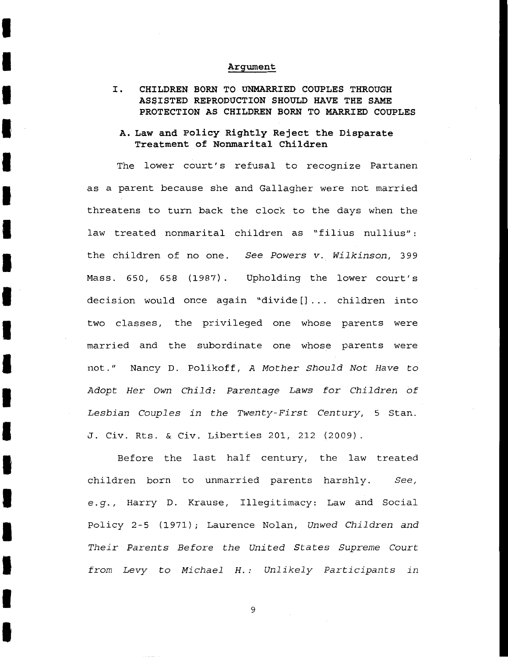#### **Argument**

I

I

I

I

I

I

I

I

I

I

I

I

I

I

I

I

I

I

I

I. **CHILDREN BORN TO UNMARRIED COUPLES THROUGH ASSISTED REPRODUCTION SHOULD HAVE THE SAME PROTECTION AS CHILDREN BORN TO MARRIED COUPLES** 

# **A. Law and Policy Rightly Reject the Disparate Treatment of Nonmarital Children**

The lower court's refusal to recognize Partanen as a parent because she and Gallagher were not married threatens to turn back the clock to the days when the law treated nonmarital children as "filius nullius": the children of no one. See Powers v. Wilkinson, 399 Mass. 650, 658 (1987). Upholding the lower court's decision would once again "divide[]... children into two classes, the privileged one whose parents were married and the subordinate one whose parents were not." Nancy D. Polikoff, A Mother Should Not Have to Adopt Her Own Child: Parentage Laws for Children of Lesbian Couples in the Twenty-First Century, 5 Stan. J. Civ. Rts. & Civ. Liberties 201, 212 (2009).

Before the last half century, the law treated children born to unmarried parents harshly. See, e.g., Harry D. Krause, Illegitimacy: Law and Social Policy 2-5 (1971); Laurence Nolan, Unwed Children and Their Parents Before the United States Supreme Court from Levy to Michael H.: Unlikely Participants in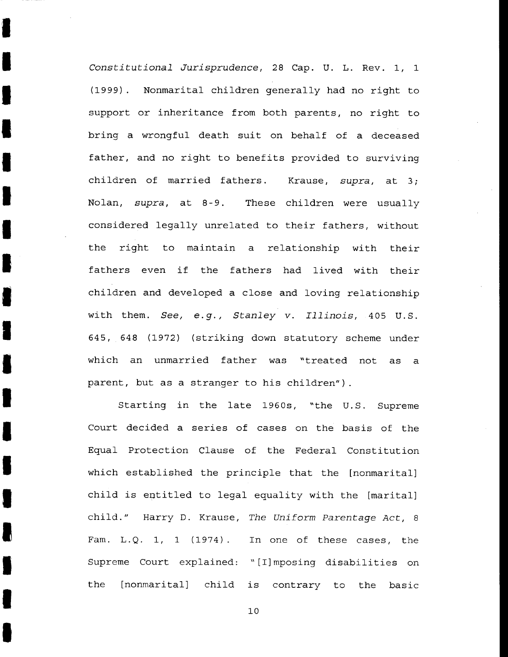*Constitutional Jurisprudence,* 28 Cap. U. L. Rev. 1, 1 (1999). Nonmarital children generally had no right to support or inheritance from both parents, no right to bring a wrongful death suit on behalf of a deceased father, and no right to benefits provided to surviving children of married fathers. Krause, *supra,* at 3; Nolan, *supra,* at 8-9. These children were usually considered legally unrelated to their fathers, without the right to maintain a relationship with their fathers even if the fathers had lived with their children and developed a close and loving relationship with them. *See, e.g., Stanley v. Illinois,* 405 U.S. 645, 648 (1972) (striking down statutory scheme under which an unmarried father was "treated not as a parent, but as a stranger to his children").

I

I

I

I

I

I

I

I

I

I

I

I

I

I

I

I

I

I

I

Starting in the late 1960s, "the U.S. Supreme Court decided a series of cases on the basis of the Equal Protection Clause of the Federal Constitution which established the principle that the [nonmarital] child is entitled to legal equality with the [marital] child." Harry D. Krause, *The Uniform Parentage Act,* 8 Fam. L.Q. 1, 1 (1974). In one of these cases, the Supreme Court explained: "[I] mposing disabilities on the [nonmarital] child is contrary to the basic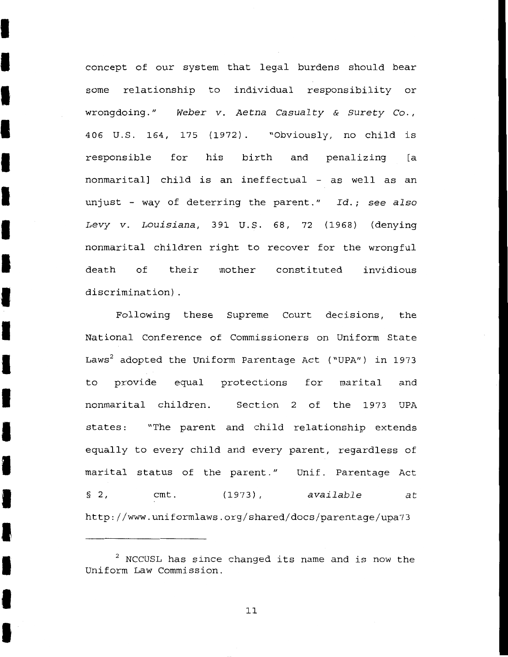concept of our system that legal burdens should bear some relationship to individual responsibility or wrongdoing." *Weber v. Aetna Casualty* & *Surety* Co., 406 u.s. 164, 175 (1972). "Obviously, no child is responsible for his birth and penalizing [a nonmarital] child is an ineffectual - as well as an unjust - way of deterring the parent." *Id.; see also Levy v. Louisiana,* 391 U.S. 68, 72 (1968) (denying nonmarital children right to recover for the wrongful death of their mother constituted invidious discrimination) .

I

I

I

I

I

I

I

I

I

I

I

I

I

I

I

I

I

I

I

Following these Supreme Court decisions, the National Conference of Commissioners on Uniform State Laws<sup>2</sup> adopted the Uniform Parentage Act ("UPA") in 1973 to provide equal protections for marital and nonmarital children. Section 2 of the 1973 UPA states: "The parent and child relationship extends equally to every child and every parent, regardless of marital status of the parent." Unif. Parentage Act § 2, cmt. (1973), available at http://www.uniformlaws.org/shared/docs/parentage/upa73

<sup>2</sup> NCCUSL has since changed its name and is now the Uniform Law Commission.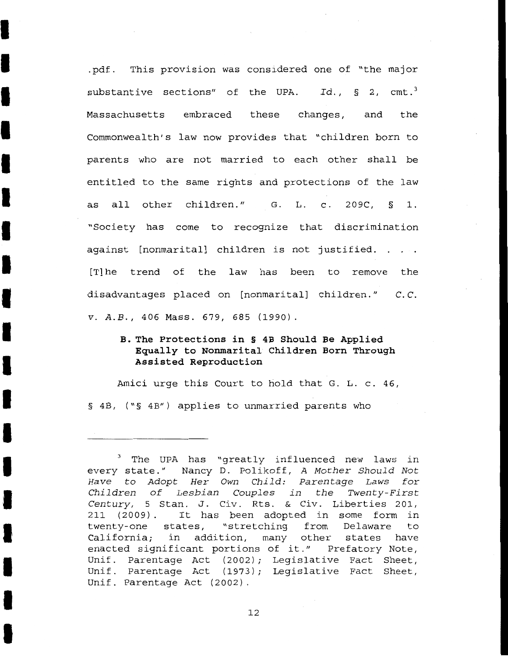.pdf. This provision was considered one of "the major substantive sections" of the UPA. Id., § 2, cmt.<sup>3</sup> Massachusetts embraced these changes, and the Commonwealth's law now provides that "children born to parents who are not married to each other shall be entitled to the same rights and protections of the law as all other children." G. L. c. 209C, § 1. "Society has come to recognize that discrimination against [nonmarital] children is not justified. [T]he trend of the law has been to remove the disadvantages placed on [nonmarital] children." C. C. *v. A.B.,* 406 Mass. 679, 685 (1990).

I

I

I

I

I

I

I

I

I

I

I

I

I

I

I

I

I

I

I

# **B. The Protections in § 4B Should Be Applied Equally to Nonmarital Children Born Through Assisted Reproduction**

Amici urge this Court to hold that G. L. c. 46, § 4B, ("§ 4B") applies to unmarried parents who

<sup>&</sup>lt;sup>3</sup> The UPA has "greatly influenced new laws in every state." Nancy D. Polikoff, A Mother Should Not Have to Adopt Her Own Child: Parentage Laws for Children of Lesbian Couples in the Twenty-First Century, 5 Stan. J. Civ. Rts. & Civ. Liberties 201, 211 (2009) . It has been adopted in some form in twenty-one states, "stretching from Delaware to California; in addition, many other states have enacted significant portions of it." Prefatory Note, Unif. Parentage Act (2002); Legislative Fact Sheet, Unif. Parentage Act (1973); Legislative Fact Sheet, Unif. Parentage Act (2002).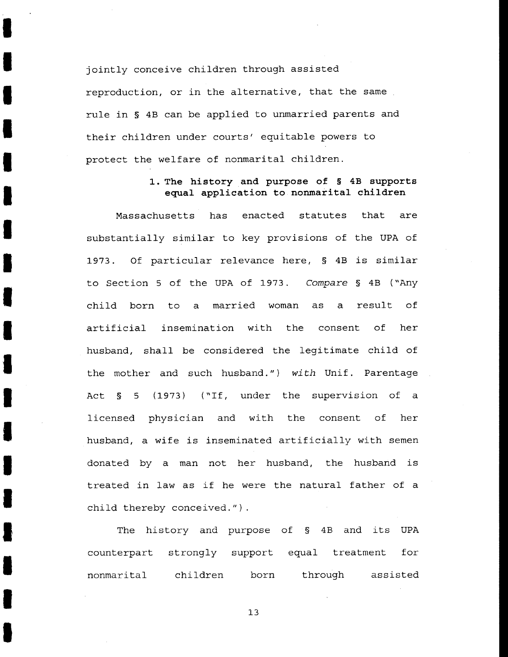jointly conceive children through assisted reproduction, or in the alternative, that the same rule in § 4B can be applied to unmarried parents and their children under courts' equitable powers to protect the welfare of nonmarital children.

I

I

I

I

I

I

I

I

I

I

I

I

I

I

I

I

I

I

I

## **1. The history and purpose of § 4B supports equal application to nonmarital children**

Massachusetts has enacted statutes that are substantially similar to key provisions of the UPA of 1973. Of particular relevance here, § 4B is similar to Section 5 of the UPA of 1973. Compare § 4B ("Any child born to a married woman as a result of artificial insemination with the consent of her husband, shall be considered the legitimate child of the mother and such husband.") *with* Unif. Parentage Act § 5 (1973) ("If, under the supervision of a licensed physician and with the consent of her husband, a wife is inseminated artificially with semen donated by a man not her husband, the husband is treated in law as if he were the natural father of a child thereby conceived.").

The history and purpose of § 4B and its UPA counterpart strongly support equal treatment for nonmarital children born through assisted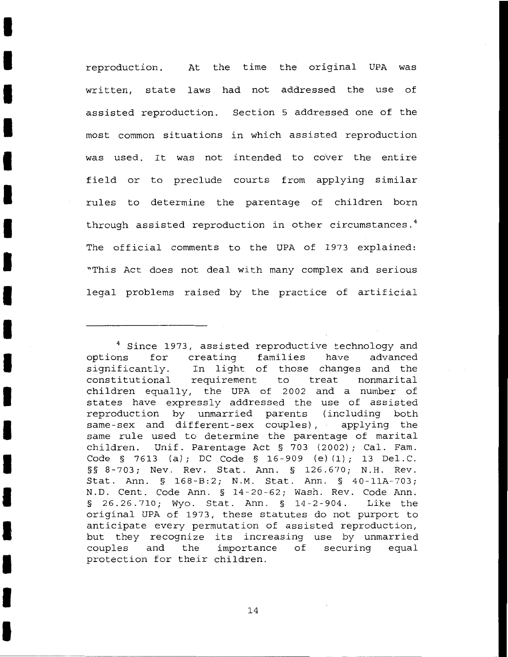reproduction. At the time the original UPA was written, state laws had not addressed the use of assisted reproduction. Section 5 addressed one of the most common situations in which assisted reproduction was used. It was not intended to cover the entire field or to preclude courts from applying similar rules to determine the parentage of children born through assisted reproduction in other circumstances. <sup>4</sup> The official comments to the UPA of 1973 explained: "This Act does not deal with many complex and serious legal problems raised by the practice of artificial

I

I

I

I

I

I

I

I

I

I

I

I

I

I

I

I

I

I

<sup>&</sup>lt;sup>4</sup> Since 1973, assisted reproductive technology and options for creating families have advanced significantly. In light of those changes and the constitutional requirement to treat nonmarital children equally, the UPA of 2002 and a number of states have expressly addressed the use of assisted reproduction by unmarried parents (including both same-sex and different-sex couples), applying the same rule used to determine the parentage of marital children. Unif. Parentage Act § 703 (2002); Cal. Fam. Code § 7613 (a); DC Code § 16-909 (e) (1); 13 Del. C. §§ 8-703; Nev. Rev. Stat. Ann. § 126.670; N.H. Rev. Stat. Ann. § 168-B:2; N.M. Stat. Ann. § 40-11A-703; N.D. Cent. Code Ann. § 14-20-62; Wash. Rev. Code Ann. § 26.26.710; Wyo. Stat. Ann. § 14-2-904. Like the original UPA of 1973, these statutes do not purport to anticipate every permutation of assisted reproduction, but they recognize its increasing use by unmarried couples and the importance of securing equal protection for their children.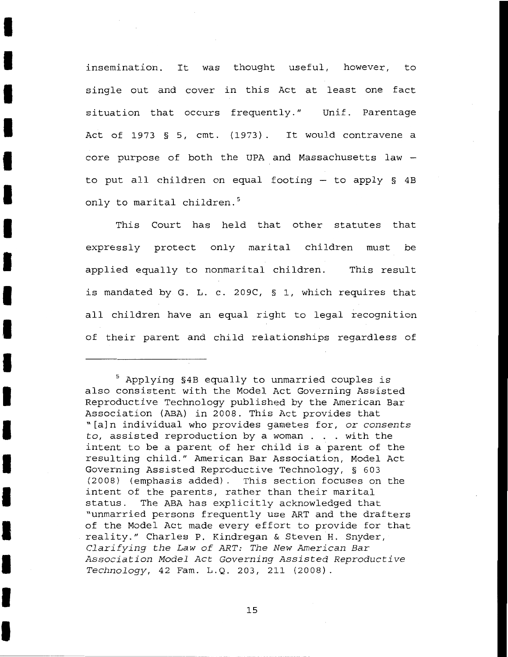insemination. It was thought useful, however, to single out and cover in this Act at least one fact situation that occurs frequently." Unif. Parentage Act of 1973 § 5, cmt. (1973). It would contravene a core purpose of both the UPA and Massachusetts law to put all children on equal footing  $-$  to apply § 4B only to marital children.<sup>5</sup>

I

I

I

I

I

I

I

I

I

I

I

I

I

I

I

I

I

I

I

This Court has held that other statutes that expressly protect only marital children must be applied equally to nonmarital children. This result is mandated by G. L. c. 209C, § 1, which requires that all children have an equal right to legal recognition of their parent and child relationships regardless of

<sup>5</sup> Applying §4B equally to unmarried couples is also consistent with the Model Act Governing Assisted Reproductive Technology published by the American Bar Association (ABA) in 2008. This Act provides that "[a]n individual who provides gametes for, or *consents*  to, assisted reproduction by a woman . . with the intent to be a parent of her child is a parent of the resulting child." American Bar Association, Model Act Governing Assisted Reproductive Technology, § 603 (2008) (emphasis added). This section focuses on the intent of the parents, rather than their marital status. The ABA has explicitly acknowledged that "unmarried persons frequently use ART and the drafters of the Model Act made every effort to provide for that reality." Charles P. Kindregan & Steven H. Snyder, *Clarifying the Law of ART: The New American Bar Association Model Act Governing Assisted Reproductive Technology,* 42 Fam. L.Q. 203, 211 (2008).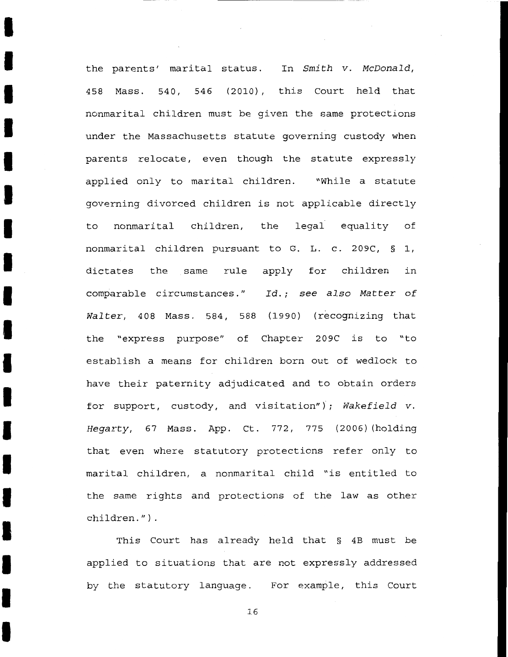the parents' marital status. In Smith v. McDonald, 458 Mass. 540, 546 (2010), this Court held that nonmarital children must be given the same protections under the Massachusetts statute governing custody when parents relocate, even though the statute expressly applied only to marital children. "While a statute governing divorced children is not applicable directly to nonmarital children, the legal equality of nonmarital children pursuant to G. L. c. 209C, § 1, dictates the same rule apply for children in comparable circumstances." Id.; see also Matter of Walter, 408 Mass. 584, 588 (1990) (recognizing that the "express purpose" of Chapter 209C is to "to establish a means for children born out of wedlock to have their paternity adjudicated and to obtain orders for support, custody, and visitation"); Wakefield v. Hegarty, 67 Mass. App. Ct. 772, 775 (2006) (holding that even where statutory protections refer only to marital children, a nonmarital child "is entitled to the same rights and protections of the law as other children.") .

I

I

I

I

I

I

I

I

I

I

I

I

I

I

I

I

I

I

I

This Court has already held that § 4B must be applied to situations that are not expressly addressed by the statutory language. For example, this Court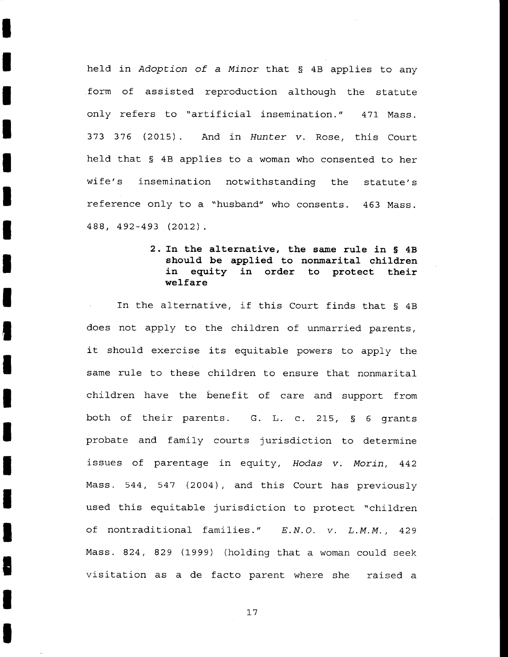held in Adoption of a Minor that § 4B applies to any form of assisted reproduction although the statute only refers to "artificial insemination." 471 Mass. 373 376 (2015) And in Hunter v. Rose, this Court held that § 4B applies to a woman who consented to her wife's insemination notwithstanding the statute's reference only to a "husband" who consents. 463 Mass. 488, 492-493 (2012).

I

I

I

I

I

I

I

I

I

I

I

I

I

I

I

I

I

I

I

2. In **the alternative, the same rule in § 4B**  should be applied to nonmarital children **in equity in order to protect their welfare** 

In the alternative, if this Court finds that § 4B does not apply to the children of unmarried parents, it should exercise its equitable powers to apply the same rule to these children to ensure that nonmarital children have the benefit of care and support from both of their parents. G. L. c. 215, § 6 grants probate and family courts jurisdiction to determine issues of parentage in equity, Rodas *v.* Morin, 442 Mass. 544, 547 (2004), and this Court has previously used this equitable jurisdiction to protect "children of nontraditional families." E.N.O. *v.* L.M.M., 429 Mass. 824, 829 (1999) (holding that a woman could seek visitation as a de facto parent where she raised a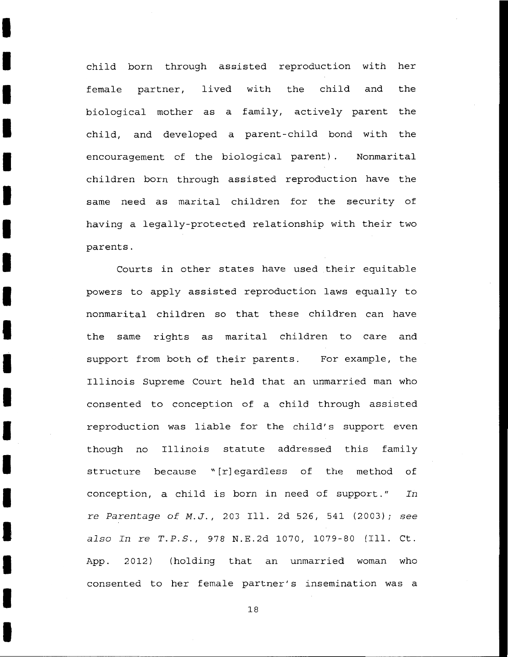child born through assisted reproduction with her female partner, lived with the child and the biological mother as a family, actively parent the child, and developed a parent-child bond with the encouragement of the biological parent). Nonmarital children born through assisted reproduction have the same need as marital children for the security of having a legally-protected relationship with their two parents.

I

I

I

I

I

I

I

I

I

I

I

I

I

I

I

I

I

I

I

Courts in other states have used their equitable powers to apply assisted reproduction laws equally to nonmarital children so that these children can have the same rights as marital children to care and support from both of their parents. For example, the Illinois Supreme Court held that an unmarried man who consented to conception of a child through assisted reproduction was liable for the child's support even though no Illinois statute addressed this family structure because "[r]egardless of the method of conception, a child is born in need of support." *In*  re *Parentage of M.J.,* 203 Ill. 2d 526, 541 (2003); *see also In* re *T.P.S.,* 978 N.E.2d 1070, 1079-80 (Ill. Ct. App. 2012) (holding that an unmarried woman who consented to her female partner's insemination was a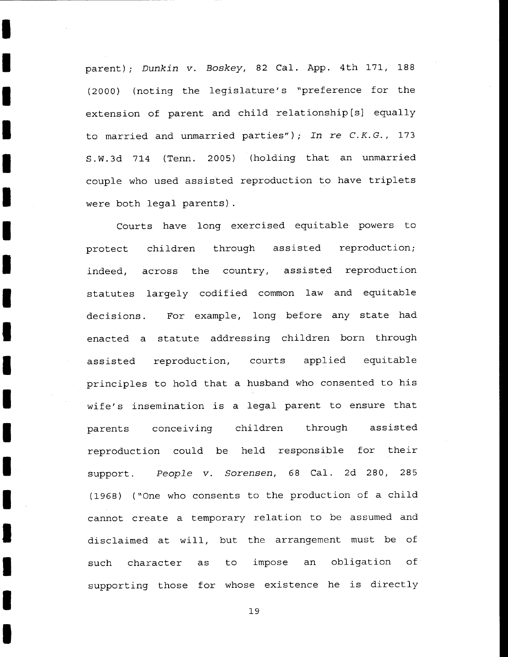parent); Dunkin v. Boskey, 82 Cal. App. 4th 171, 188 (2000) (noting the legislature's "preference for the extension of parent and child relationship[s] equally to married and unmarried parties"); *In* re *C. K. G.,* 173 S.W.3d 714 (Tenn. 2005) (holding that an unmarried couple who used assisted reproduction to have triplets were both legal parents) .

I

I

I

I

I

I

I

I

I

I

I

I

I

I

I

I

I

I

I

Courts have long exercised equitable powers to protect indeed, statutes largely codified common law and equitable children through assisted reproduction; across the country, assisted reproduction decisions. For example, long before any state had enacted a statute addressing children born through assisted reproduction, courts applied equitable principles to hold that a husband who consented to his wife's insemination is a legal parent to ensure that parents conceiving children through assisted reproduction could be held responsible for their support. People v. Sorensen, 68 Cal. 2d 280, 285 ( 1968) ("One who consents to the production of a child cannot create a temporary relation to be assumed and disclaimed at will, but the arrangement must be of such character as to impose an obligation of supporting those for whose existence he is directly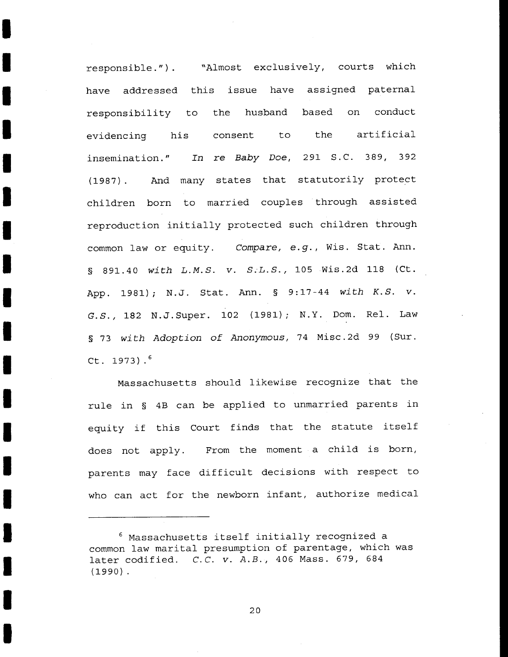responsible."). "Almost exclusively, courts which have addressed this issue have assigned paternal responsibility to the husband based on conduct evidencing his consent to the artificial insemination." In re Baby Doe, 291 S.C. 389, 392 (1987). And many states that statutorily protect children born to married couples through assisted reproduction initially protected such children through common law or equity. Compare, e.g., Wis. Stat. Ann. § 891.40 with *L.M.S. v. S.L.S.,* 105 Wis.2d 118 (Ct. App. 1981); N.J. Stat. Ann. § 9:17-44 with K.S. *v.*  G.S., 182 N.J.Super. 102 (1981); N.Y. Dom. Rel. Law § 73 with Adoption of Anonymous, 74 Misc.2d 99 (Sur. Ct. 1973). <sup>6</sup>

I

I

I

I

I

I

I

I

I

I

I

I

I

I

I

I

I

I

I

Massachusetts should likewise recognize that the rule in § 4B can be applied to unmarried parents in equity if this Court finds that the statute itself does not apply. From the moment a child is born, parents may face difficult decisions with respect to who can act for the newborn infant, authorize medical

<sup>6</sup> Massachusetts itself initially recognized a common law marital presumption of parentage, which was later codified. C.C. *v.* A.B., 406 Mass. 679, 684 (1990) .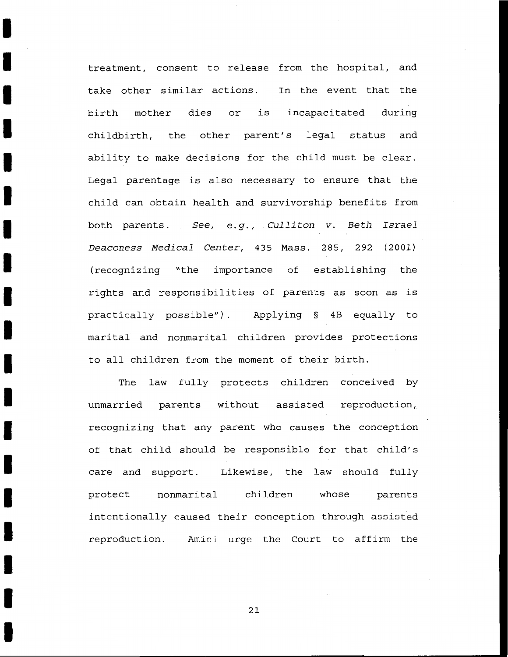treatment, consent to release from the hospital, and take other similar actions. In the event that the birth mother dies or is incapacitated during childbirth, the other parent's legal status and ability to make decisions for the child must be clear. Legal parentage is also necessary to ensure that the child can obtain health and survivorship benefits from both parents. *See, e.g., Culliton v. Beth Israel Deaconess Medical Center,* 435 Mass. 285, 292 (2001) (recognizing "the importance of establishing the rights and responsibilities of parents as soon as is practically possible"). Applying § 4B equally to marital and nonmarital children provides protections to all children from the moment of their birth.

I

I

I

I

I

I

I

I

I

I

I

I

I

I

I

I

I

I

I

The law fully protects children conceived by unmarried parents without assisted reproduction, recognizing that any parent who causes the conception of that child should be responsible for that child's care and support. Likewise, the law should fully protect nonmarital children whose parents intentionally caused their conception through assisted reproduction. Amici urge the Court to affirm the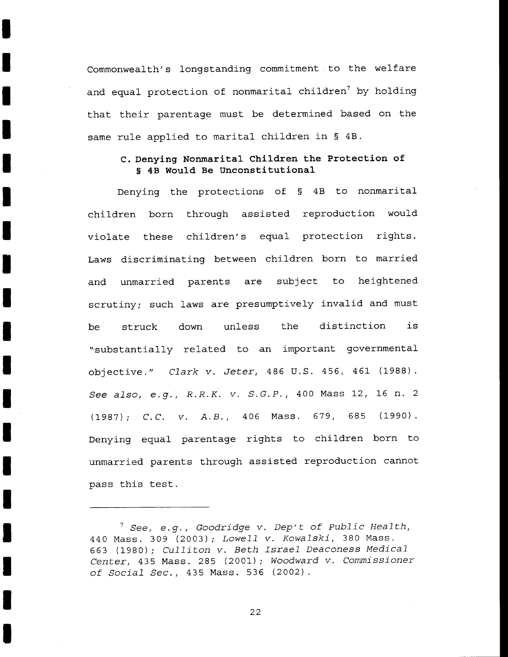Commonwealth's longstanding commitment to the welfare and equal protection of nonmarital children<sup>7</sup> by holding that their parentage must be determined based on the same rule applied to marital children in § 4B.

I

I

I

I

I

I

I

I

I

I

I

I

I

I

I

I

I

I

I

## **c. Denying Nonmarital Children the Protection of**  § **4B Would Be Unconstitutional**

Denying the protections of § 4B to nonmarital children born through assisted reproduction would violate these children's equal protection rights. Laws discriminating between children born to married and unmarried parents are subject to heightened scrutiny; such laws are presumptively invalid and must be struck down unless the distinction is "substantially related to an important governmental objective." *Clark v. Jeter,* 486 U.S. 456, 461 (1988). *See also, e.g., R.R.K. v. S.G.P.,* 400 Mass 12, 16 n. 2 (1987); *C.C. v. A.B.,* 406 Mass. 679, 685 (1990). Denying equal parentage rights to children born to unmarried parents through assisted reproduction cannot pass this test.

<sup>7</sup>*See, e.g., Goodridge v. Dep't of Public Health,*  440 Mass. 309 (2003); *Lowell v. Kowalski,* 380 Mass. 663 (1980); *Culliton v. Beth Israel Deaconess Medical Center,* 435 Mass. 285 (2001); *Woodward v. Commissioner of Social Sec.,* 435 Mass. 536 (2002).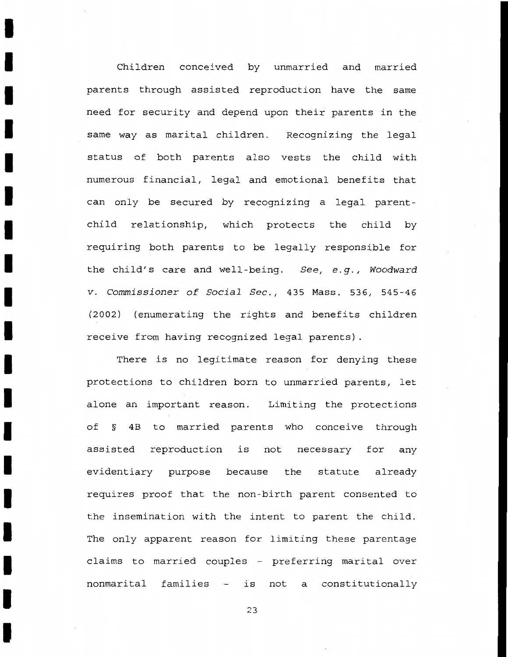Children conceived by unmarried and married parents through assisted reproduction have the same need for security and depend upon their parents in the same way as marital children. Recognizing the legal status of both parents also vests the child with numerous financial, legal and emotional benefits that can only be secured by recognizing a legal parentchild relationship, which protects the child by requiring both parents to be legally responsible for the child's care and well-being. *See, e.g., Woodward v. Commissioner of Social Sec.,* 435 Mass. 536, 545-46 (2002) (enumerating the rights and benefits children receive from having recognized legal parents) .

I

I

I

I

I

I

I

I

I

I

I

I

I

I

I

I

I

I

I

There is no legitimate reason for denying these protections to children born to unmarried parents, let alone an important reason. Limiting the protections of § 4B to married parents who conceive through assisted reproduction is evidentiary purpose because the statute already not necessary for any requires proof that the non-birth parent consented to the insemination with the intent to parent the child. The only apparent reason for limiting these parentage claims to married couples - preferring marital over nonmarital families - is not a constitutionally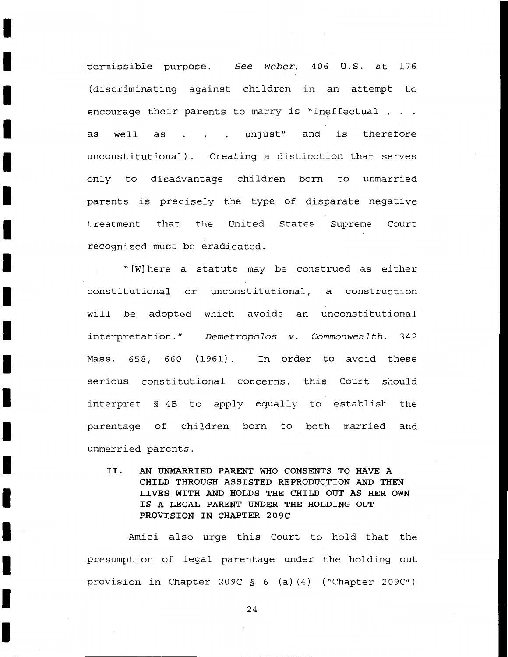permissible purpose. *See Weber*, 406 U.S. at 176 (discriminating against children in an attempt to encourage their parents to marry is "ineffectual . as well as . . . unjust" and is therefore unconstitutional) Creating a distinction that serves only to disadvantage children born to unmarried parents is precisely the type of disparate negative treatment that the United States Supreme Court recognized must be eradicated.

I

I

I

I

I

I

I

I

I

I

I

I

I

I

I

I

I

I

I

"[W] here a statute may be construed as either constitutional or unconstitutional, a construction will be adopted which avoids an unconstitutional interpretation." *Demetropolos v. Commonwealth,* 342 Mass. 658, 660 (1961). In order to avoid these serious constitutional concerns, this Court should interpret § 4B to apply equally to establish the parentage of children born to both married and unmarried parents.

II. **AN UNMARRIED PARENT WHO CONSENTS TO HAVE A CHILD THROUGH ASSISTED REPRODUCTION AND THEN LIVES WITH AND HOLDS THE CHILD OUT AS HER OWN IS A LEGAL PARENT UNDER THE HOLDING OUT PROVISION IN CHAPTER 209C** 

Amici also urge this Court to hold that the presumption of legal parentage under the holding out provision in Chapter 209C § 6 (a) (4) ("Chapter 209C")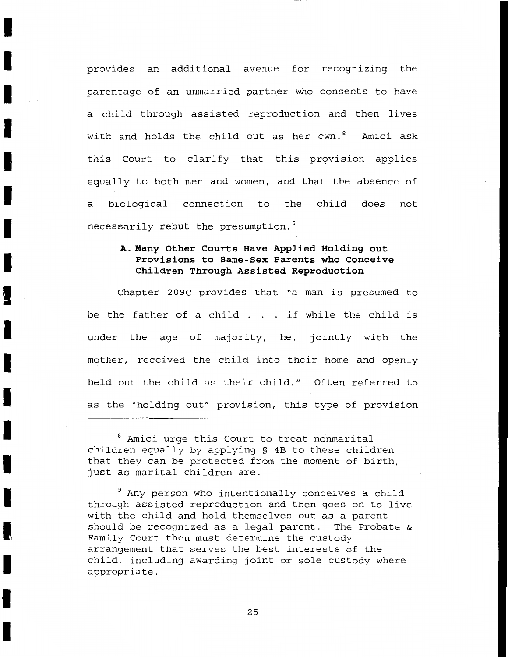provides an additional avenue for recognizing the parentage of an unmarried partner who consents to have a child through assisted reproduction and then lives with and holds the child out as her own.<sup>8</sup> Amici ask this Court to clarify that this provision applies equally to both men and women, and that the absence of a biological connection to the child does necessarily rebut the presumption.<sup>9</sup> not

I

I

I

I

I

I

I

I

I

I

I

I

I

I

I

I

I

I

I

# **A. Many Other Courts Have Applied Holding out Provisions to Same-Sex Parents who Conceive Children Through Assisted Reproduction**

Chapter 209C provides that "a man is presumed to be the father of a child . if while the child is under the age of majority, he, jointly with the mother, received the child into their home and openly held out the child as their child." Often referred to as the "holding out" provision, this type of provision

8 Amici urge this Court to treat nonmarital children equally by applying § 4B to these children that they can be protected from the moment of birth, just as marital children are.

<sup>9</sup> Any person who intentionally conceives a child through assisted reproduction and then goes on to live with the child and hold themselves out as a parent should be recognized as a legal parent. The Probate & Family Court then must determine the custody arrangement that serves the best interests of the child, including awarding joint or sole custody where appropriate.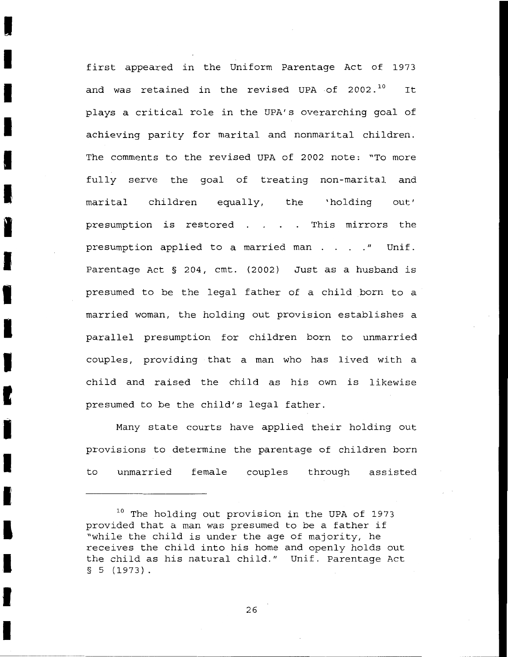first appeared in the Uniform Parentage Act of 1973 and was retained in the revised UPA of  $2002.^{10}$  It plays a critical role in the UPA's overarching goal of achieving parity for marital and nonmarital children. The comments to the revised UPA of 2002 note: "To more fully serve the goal of treating non-marital and marital children equally, the 'holding out' presumption is restored . . . . This mirrors the presumption applied to a married man . . . . " Unif. Parentage Act § 204, cmt. (2002) Just as a husband is presumed to be the legal father of a child born to a married woman, the holding out provision establishes a parallel presumption for children born to unmarried couples, providing that a man who has lived with a child and raised the child as his own is likewise presumed to be the child's legal father.

I

I

I

I

I

I

I

I

I

I

I

I

I

I

I

I

I

I

I

Many state courts have applied their holding out provisions to determine the parentage of children born to unmarried female couples through assisted

<sup>10</sup> The holding out provision in the UPA of 1973 provided that a man was presumed to be a father if "while the child is under the age of majority, he receives the child into his home and openly holds out the child as his natural child." Unif. Parentage Act § 5 (1973).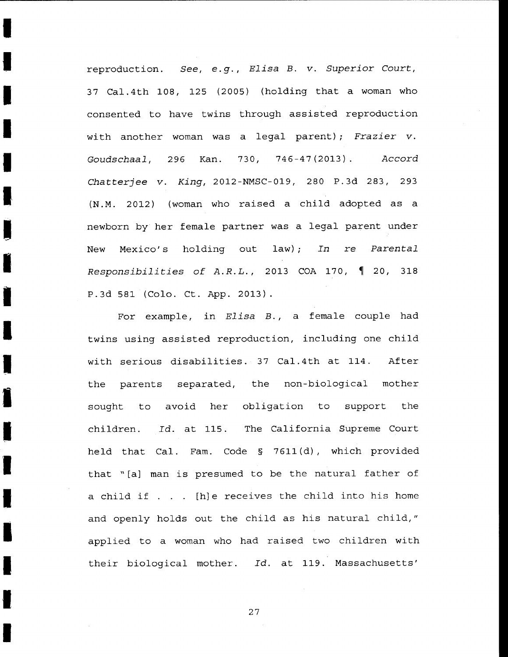reproduction. *See, e.g.* , *Elisa B. v. Superior* Court, 37 Cal.4th 108, 125 (2005) (holding that a woman who consented to have twins through assisted reproduction with another woman was a legal parent); *Frazier v. Goudschaal,* 296 Kan. 730, 746-47 (2013). *Accord Chatterjee v. King,* 2012-NMSC-019, 280 P.3d 283, 293 (N.M. 2012) (woman who raised a child adopted as a newborn by her female partner was a legal parent under New Mexico's holding out law) ; *In* re *Parental Responsibilities of A.R.L.*, 2013 COA 170, 1 20, 318 P.3d 581 (Colo. Ct. App. 2013).

I

I

I

I

I

I

I

I

I

I

I

I

I

I

I

I

I

I

I

For example, in *Elisa B.*, a female couple had twins using assisted reproduction, including one child with serious disabilities. 37 Cal.4th at 114. After the parents separated, the non-biological mother sought to avoid her obligation to support the children. *Id.* at 115. The California Supreme Court held that Cal. Fam. Code § 7611 (d), which provided that " [a] man is presumed to be the natural father of a child if  $\ldots$  [h]e receives the child into his home and openly holds out the child as his natural child," applied to a woman who had raised two children with their biological mother. *Id.* at 119. Massachusetts'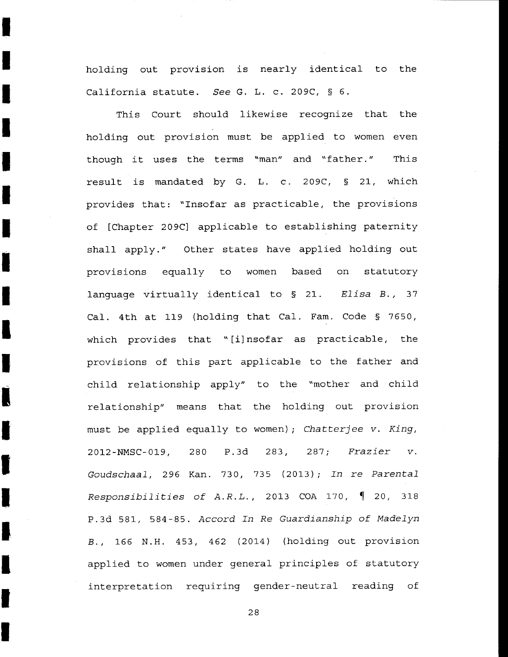holding out provision is nearly identical to the California statute. *See* G. L. c. 209C, § 6.

I

I

I

I

I

I

I

I

I

I

I

I

I

I

I

I

I

I

I

This Court should likewise recognize that the holding out provision must be applied to women even though it uses the terms "man" and "father." This result is mandated by G. L. c. 209C, § 21, which provides that: "Insofar as practicable, the provisions of [Chapter 209C] applicable to establishing paternity shall apply." Other states have applied holding out provisions equally to women based on statutory language virtually identical to § 21. *Elisa B.,* <sup>37</sup> Cal. 4th at 119 {holding that Cal. Fam. Code § 7650, which provides that "[i]nsofar as practicable, the provisions of this part applicable to the father and child relationship apply" to the "mother and child relationship" means that the holding out provision must be applied equally to women); *Chatterjee v. King,*  2012-NMSC-019, 280 P.3d 283, 287; *Frazier Goudschaal,* 296 Kan. 730, 735 {2013); *In* re *Parental Responsibilities of A.R.L.*, 2013 COA 170,  $\parallel$  20, 318 P.3d 581, 584-85. *Accord In Re Guardianship of Madelyn*  B., 166 N.H. 453, 462 (2014) (holding out provision applied to women under general principles of statutory interpretation requiring gender-neutral reading of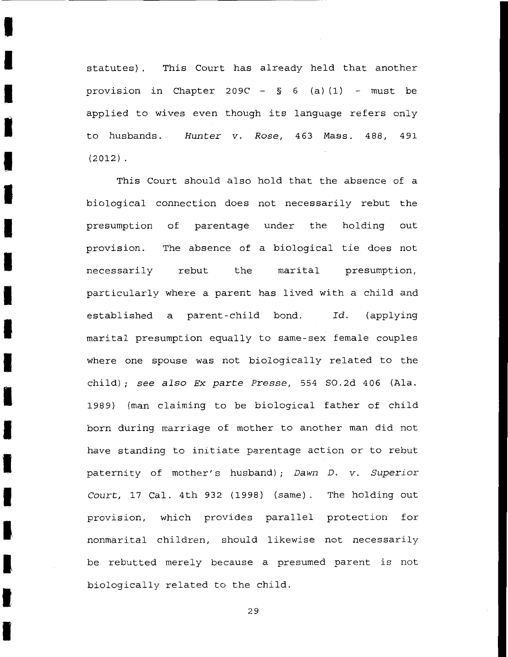statutes) . This Court has already held that another provision in Chapter 209C -  $\S$  6 (a)(1) - must be applied to wives even though its language refers only to husbands. *Hunter v. Rose,* 463 Mass. 488, 491  $(2012)$ .

I

I

I

I

I

I

I

I

I

I

I

I

I

I

I

I

I

I

I

This Court should also hold that the absence of a biological connection does not necessarily rebut the presumption of parentage under the holding out provision. The absence of a biological tie does not necessarily rebut the marital presumption, particularly where a parent has lived with a child and established a parent-child bond. *Id.* (applying marital presumption equally to same-sex female couples where one spouse was not biologically related to the child); *see also Ex parte Presse,* 554 S0.2d 406 (Ala. 1989) (man claiming to be biological father of child born during marriage of mother to another man did not have standing to initiate parentage action or to rebut paternity of mother's husband); *Dawn D. v. Superior Court,* 17 Cal. 4th 932 (1998) (same). The holding out provision, which provides parallel protection for nonmarital children, should likewise not necessarily be rebutted merely because a presumed parent is not biologically related to the child.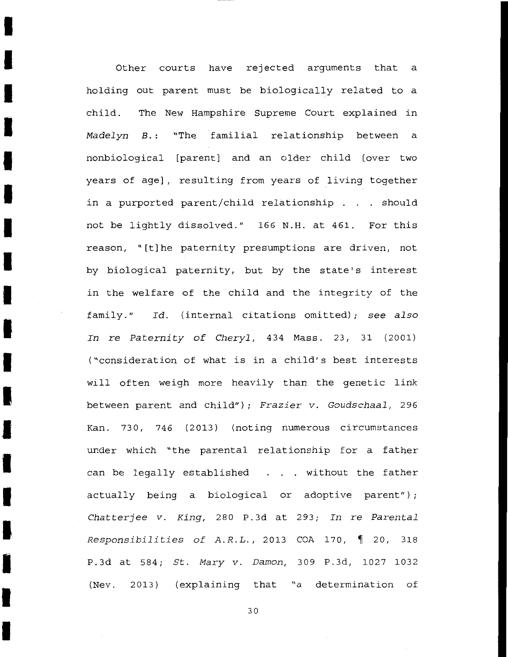Other courts have rejected arguments that a holding out parent must be biologically related to a child. The New Hampshire Supreme Court explained in *Madelyn B.* : "The familial relationship between a nonbiological [parent] and an older child [over two years of age] , resulting from years of living together in a purported parent/child relationship  $\ldots$  should not be lightly dissolved." 166 N.H. at 461. For this reason, "[t] he paternity presumptions are driven, not by biological paternity, but by the state's interest in the welfare of the child and the integrity of the family." Id. (internal citations omitted); see also *In* re *Paternity* of *Cheryl,* 434 Mass. 23, 31 (2001) ("consideration of what is in a child's best interests will often weigh more heavily than the genetic link between parent and child"); *Frazier v. Goudschaal,* 296 Kan. 730, 746 (2013) (noting numerous circumstances under which "the parental relationship for a father can be legally established . . . without the father actually being a biological or adoptive parent"); *Chatterjee v. King,* 280 P.3d at 293; *In* re *Parental Responsibilities of A.R.L.*, 2013 COA 170, 1 20, 318 P.3d at 584; *St. Mary v. Damon*, 309 P.3d, 1027 1032 (Nev. 2013) (explaining that "a determination of

I

I

I

I

I

I

I

I

I

I

I

I

I

**'I** 

I

I

I

I

I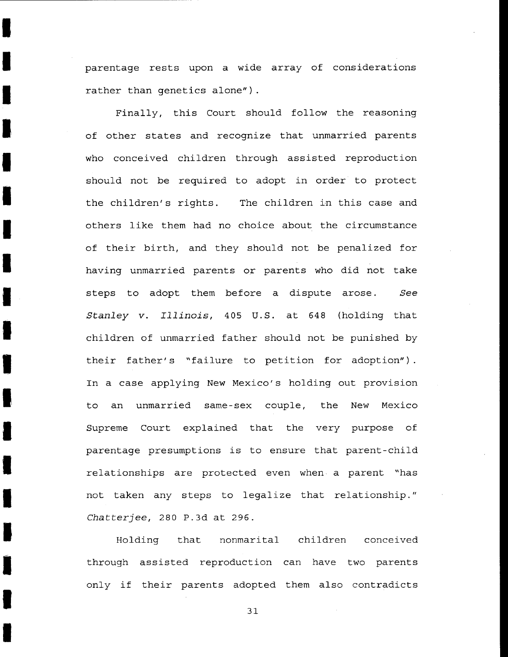parentage rests upon a wide array of considerations rather than genetics alone").

I

I

I

I

I

I

I

I

I

I

I

I

I

I

I

I

I

I

I

Finally, this Court should follow the reasoning of other states and recognize that unmarried parents who conceived children through assisted reproduction should not be required to adopt in order to protect the children's rights. The children in this case and others like them had no choice about the circumstance of their birth, and they should not be penalized for having unmarried parents or parents who did not take steps to adopt them before a dispute arose. *See Stanley v. Illinois,* 405 U.S. at 648 (holding that children of unmarried father should not be punished by their father's "failure to petition for adoption"). In a case applying New Mexico's holding out provision to an unmarried same-sex couple, the New Mexico Supreme Court explained that the very purpose of parentage presumptions is to ensure that parent-child relationships are protected even when a parent "has not taken any steps to legalize that relationship." *Chatterjee,* 280 P.3d at 296.

Holding that nonmarital children conceived through assisted reproduction can have two parents only if their parents adopted them also contradicts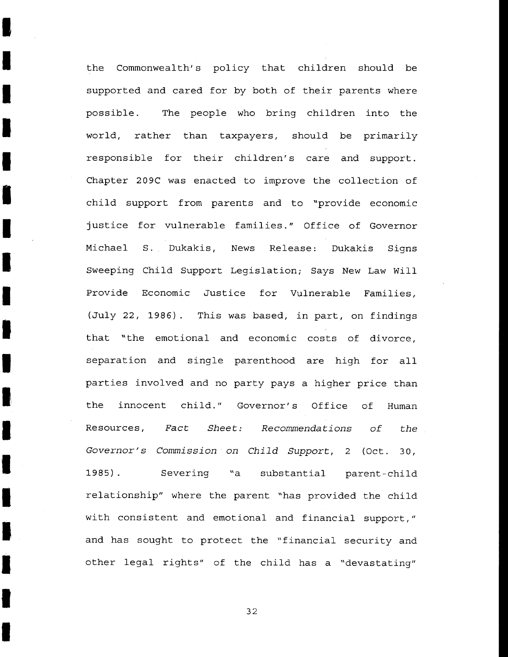the Commonwealth's policy that children should be supported and cared for by both of their parents where possible. The people who bring children into the world, rather than taxpayers, should be primarily responsible for their children's care and support. Chapter 209C was enacted to improve the collection of child support from parents and to "provide economic justice for vulnerable families." Office of Governor Michael S. Dukakis, News Release: Dukakis Signs Sweeping Child Support Legislation; Says New Law Will Provide Economic Justice for Vulnerable Families, (July 22, 1986). This was based, in part, on findings that "the emotional and economic costs of divorce, separation and single parenthood are high for all parties involved and no party pays a higher price than the innocent child." Governor's Office of Human Resources, *Fact Sheet: Recommendations of the Governor's Commission on Child Support,* 2 (Oct. 30, 1985) . Severing "a substantial parent-child relationship" where the parent "has provided the child with consistent and emotional and financial support," and has sought to protect the "financial security and other legal rights" of the child has a "devastating"

I

I

I

I

I

I

I

I

I

I

I

**I** 

I

I

I

I

I

I

I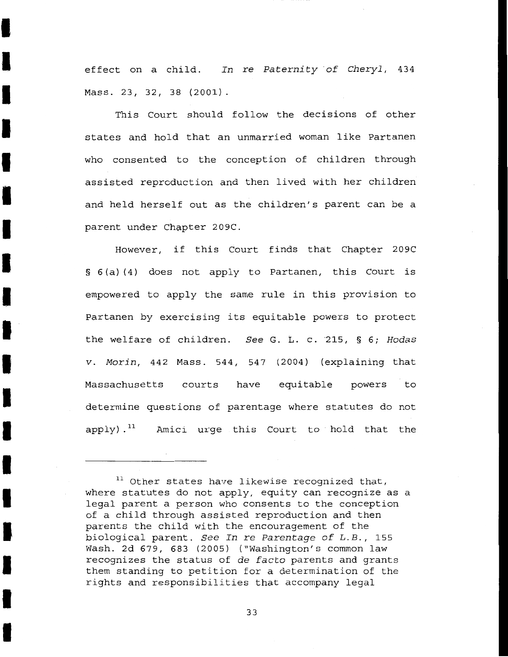effect on a child. In re Paternity of Cheryl, 434 Mass. 23, 32, 38 (2001) .

I

I

I

I

I

i<br>I

I

I

I

I

I

I

I

I

I

I

I

I

I

This Court should follow the decisions of other states and hold that an unmarried woman like Partanen who consented to the conception of children through assisted reproduction and then lived with her children and held herself out as the children's parent can be a parent under Chapter 209C.

However, if this Court finds that Chapter 209C § 6(a)(4) does not apply to Partanen, this Court is empowered to apply the same rule in this provision to Partanen by exercising its equitable powers to protect the welfare of children. See G. L. c. 215, § 6; Hodas v. Morin, 442 Mass. 544, 547 (2004) (explaining that Massachusetts courts have equitable powers to determine questions of parentage where statutes do not  $apply)$ .<sup>11</sup> Amici urge this Court to hold that the

 $11$  Other states have likewise recognized that, where statutes do not apply, equity can recognize as a legal parent a person who consents to the conception of a child through assisted reproduction and then parents the child with the encouragement of the biological parent. See In re Parentage of L.B., 155 Wash. 2d 679, 683 (2005) ("Washington's common law recognizes the status of de facto parents and grants them standing to petition for a determination of the rights and responsibilities that accompany legal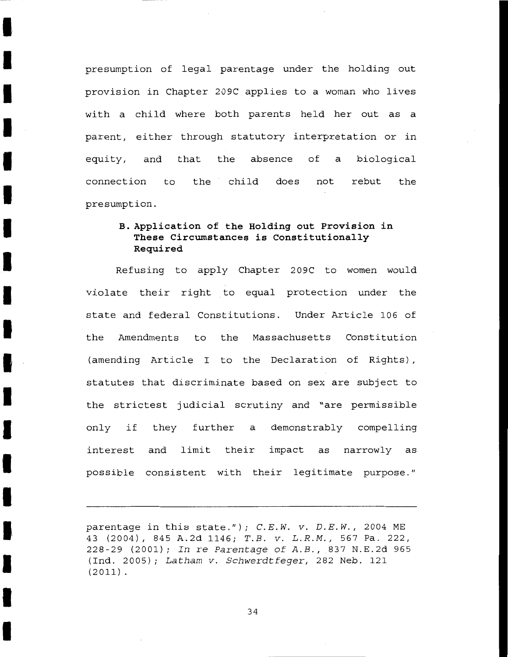presumption of legal parentage under the holding out provision in Chapter 209C applies to a woman who lives with a child where both parents held her out as a parent, either through statutory interpretation or in equity, and that the absence of a biological connection to the child does not rebut presumption. the

I

I

I

I

I

I

I

I

I

I

I

I

I

I

I

I

# **B. Application of the Holding out Provision in These Circumstances is Constitutionally Required**

Refusing to apply Chapter 209C to women would violate their right to equal protection under the state and federal Constitutions. Under Article 106 of the Amendments to the Massachusetts Constitution (amending Article I to the Declaration of Rights) , statutes that discriminate based on sex are subject to the strictest judicial scrutiny and "are permissible only if they further a demonstrably compelling interest and limit their impact as narrowly as possible consistent with their legitimate purpose."

parentage in this state."); *C.E.W. v. D.E.W.,* 2004 ME 43 (2004), 845 A.2d 1146; *T.B. v. L.R.M.,* 567 Pa. 222, 228-29 (2001); *In re Parentage of A.B.,* 837 N.E.2d 965 (Ind. 2005); *Latham v. Schwerdtfeger,* 282 Neb. 121 (2011).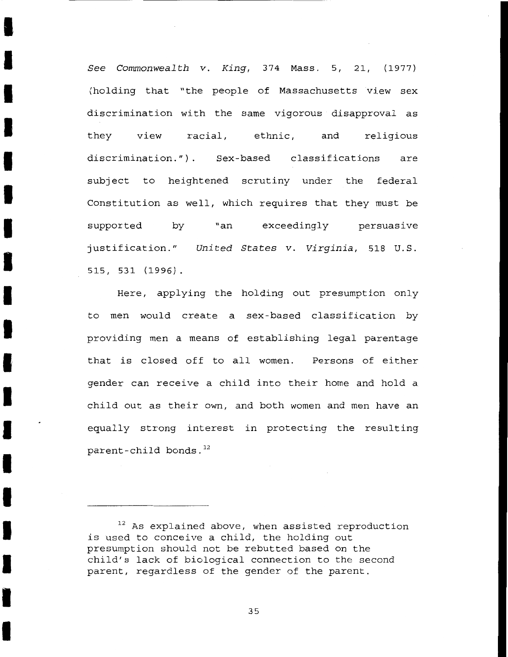*See Commonwealth v. King,* 374 Mass. 5, 21, (1977) (holding that "the people of Massachusetts view sex discrimination with the same vigorous disapproval as they view racial, ethnic, and religious discrimination.") Sex-based classifications are subject to heightened scrutiny under the federal Constitution as well, which requires that they must be supported by "an exceedingly persuasive justification." *United States v. Virginia,* 518 U.S. 515, 531 (1996).

I

I

I

I

I

I

I

I

I

I

I

I

I

I

I

I

I

I

I

Here, applying the holding out presumption only to men would create a sex-based classification by providing men a means of establishing legal parentage that is closed off to all women. Persons of either gender can receive a child into their home and hold a child out as their own, and both women and men have an equally strong interest in protecting the resulting parent-child bonds. $^{12}$ 

 $12$  As explained above, when assisted reproduction is used to conceive a child, the holding out presumption should not be rebutted based on the child's lack of biological connection to the second parent, regardless of the gender of the parent.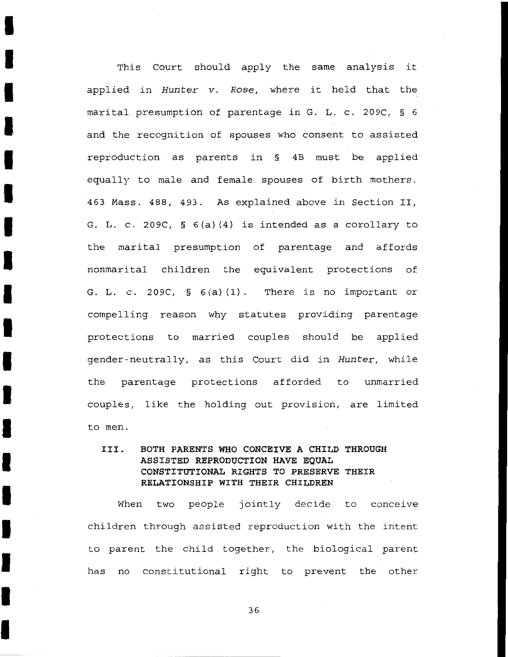This Court should apply the same analysis it applied in Hunter v. Rose, where it held that the marital presumption of parentage in G. L. c. 209C, § 6 and the recognition of spouses who consent to assisted reproduction as parents in § 4B must be applied equally to male and female spouses of birth mothers. 463 Mass. 488, 493. As explained above in Section II, G. L. c. 209C, § 6(a) (4) is intended as a corollary to the marital presumption of parentage and affords nonmarital children the equivalent protections of G. **L.** c. 209C, § 6 (a) (1). There is no important or compelling reason why statutes providing parentage protections to married couples should be applied gender-neutrally, as this Court did in Hunter, while the parentage protections afforded to unmarried couples, like the holding out provision, are limited to men.

I

I

I

I

I

I

I

I

I

I

I

I

I

I

I

I

I

I

I

# **III. BOTH PARENTS WHO CONCEIVE A CHILD THROUGH ASSISTED REPRODUCTION HAVE EQUAL CONSTITUTIONAL RIGHTS TO PRESERVE THEIR RELATIONSHIP WITH THEIR CHILDREN**

When two people jointly decide to conceive children through assisted reproduction with the intent to parent the child together, the biological parent has no constitutional right to prevent the other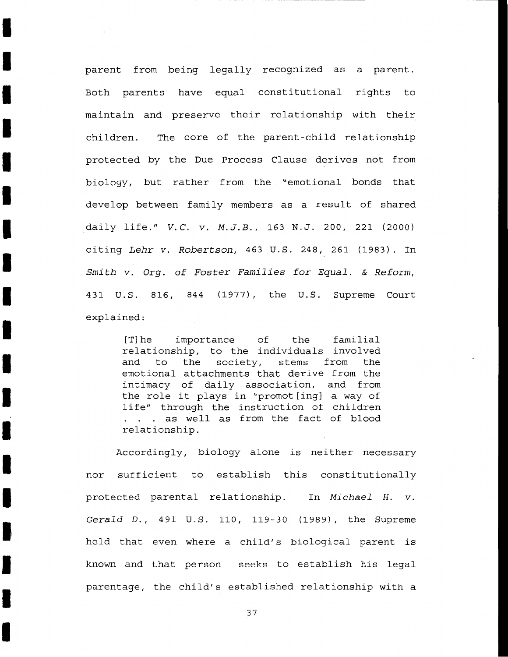parent from being legally recognized as a parent. Both parents have equal constitutional rights to maintain and preserve their relationship with their children. The core of the parent-child relationship protected by the Due Process Clause derives not from biology, but rather from the "emotional bonds that develop between family members as a result of shared \_daily life." *V.C. v. M.J.B.,* 163 N.J. 200, 221 (2000) citing Lehr v. Robertson, 463 U.S. 248, 261 (1983). In Smith v. Org. of Foster Families for Equal. & Reform, 431 U.S. 816, 844 (1977), the U.S. Supreme Court explained:

I

I

I

I

I

I

I

I

I

I

I

I

I

I

I

I

I

I

I

[T]he importance of the familial relationship, to the individuals involved and to the society, stems from the emotional attachments that derive from the intimacy of daily association, and from the role it plays in "promot[ing] a way of life" through the instruction of children . . . as well as from the fact of blood relationship.

Accordingly, biology alone is neither necessary nor sufficient to establish this constitutionally protected parental relationship. In Michael H. v. Gerald D., 491 U.S. 110, 119-30 (1989), the Supreme held that even where a child's biological parent is known and that person seeks to establish his legal parentage, the child's established relationship with a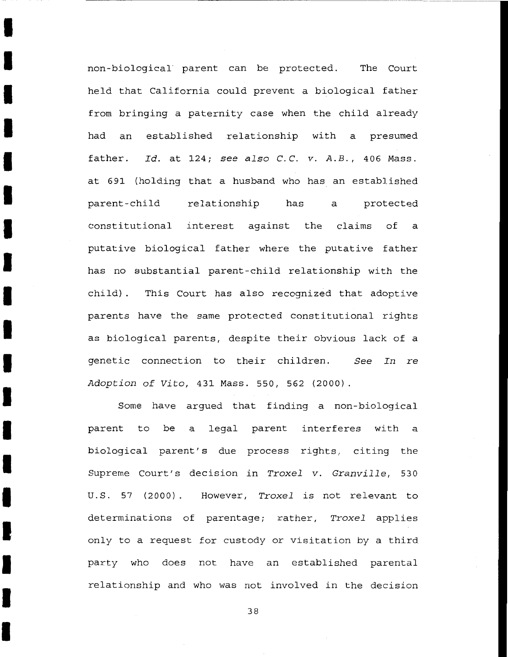non-biological· parent can be protected. The Court held that California could prevent a biological father from bringing a paternity case when the child already had an established relationship with a presumed father. *Id.* at 124; *see also C.C. v. A.B.,* 406 Mass. at 691 (holding that a husband who has an established parent-child relationship has a protected constitutional interest against putative biological father where the putative father the claims of a has no substantial parent-child relationship with the child) . This Court has also recognized that adoptive parents have the same protected constitutional rights as biological parents, despite their obvious lack of a genetic connection to their children. *See In* re *Adoption of Vito,* 431 Mass. 550, 562 (2000)

I

I

I

I

I

I

I

I

I

I

I

I

I

I

I

I

I

I

I

Some have argued that finding a non-biological parent to be a biological parent's due process rights, citing the legal parent interferes with a Supreme Court's decision in *Troxel v. Granville,* 530 U.S. 57 (2000) However, *Troxel* is not relevant to determinations of parentage; rather, *Troxel* applies only to a request for custody or visitation by a third party who does not have an established parental relationship and who was not involved in the decision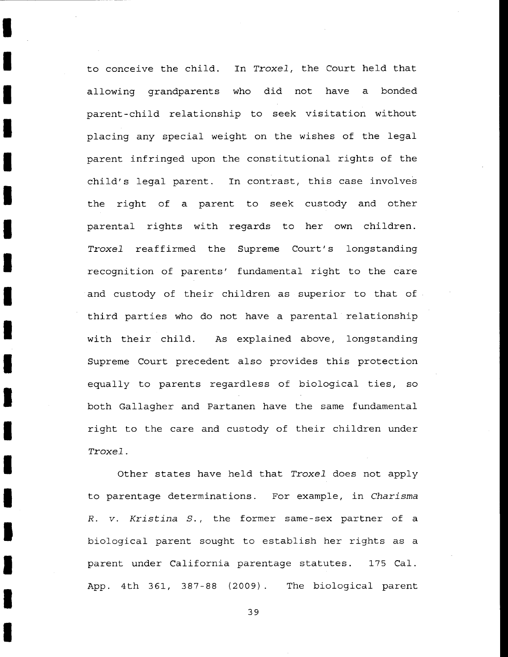to conceive the child. In *Troxel,* the Court held that allowing grandparents who did not have a bonded parent-child relationship to seek visitation without placing any special weight on the wishes of the legal parent infringed upon the constitutional rights of the child's legal parent. In contrast, this case involves the right of a parent to seek custody and other parental rights with regards to her own children. *Troxel* reaffirmed the Supreme Court's longstanding recognition of parents' fundamental right to the care and custody of their children as superior to that of third parties who do not have a parental relationship with their child. As explained above, longstanding Supreme Court precedent also provides this protection equally to parents regardless of biological ties, so both Gallagher and Partanen have the same fundamental right to the care and custody of their children under *Troxel.* 

I

I

I

I

I

I

I

I

I

I

I

I

I

I

I

I

I

I

I

Other states have held that *Troxel* does not apply to parentage determinations. For example, in *Charisma R. v. Kristina S.*, the former same-sex partner of a biological parent sought to establish her rights as a parent under California parentage statutes. 175 Cal. App. 4th 361, 387-88 (2009). The biological parent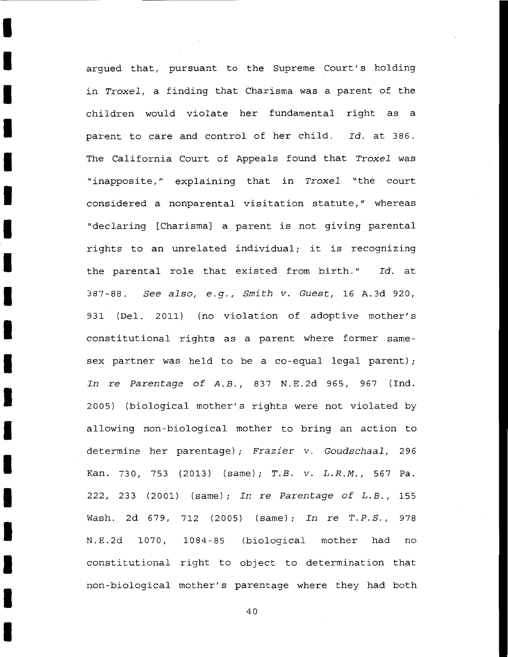argued that, pursuant to the Supreme Court's holding in *Troxel,* a finding that Charisma was a parent of the children would violate her fundamental right as a parent to care and control of her child. *Id.* at 386. The California Court of Appeals found that *Troxel* was "inapposite," explaining that in *Troxel* "the court considered a nonparental visitation statute," whereas "declaring [Charisma] a parent is not giving parental rights to an unrelated individual; it is recognizing the parental role that existed from birth." *Id.* at 387-88. *See also, e.g., Smith v. Guest,* 16 A.3d 920, 931 (Del. 2011) (no violation of adoptive mother's constitutional rights as a parent where former samesex partner was held to be a co-equal legal parent); *In* re *Parentage of* A.B., 837 N.E.2d 965, 967 (Ind. 2005) (biological mother's rights were not violated by allowing non-biological mother to bring an action to determine her parentage); *Frazier v. Goudschaal,* 296 Kan. 730, 753 (2013) (same); T.B. *v.* L.R.M., 567 Pa. 222, 233 (2001) (same); *In* re *Parentage of* L.B., 155 Wash. 2d 679, 712 (2005) (same); *In* re *T.P.S.,* 978 N.E.2d 1070, 1084-85 (biological mother had no constitutional right to object to determination that non-biological mother's parentage where they had both

I

I

I

I

I

I

I

I

I

I

I

I

I

I

I

I

I

I

I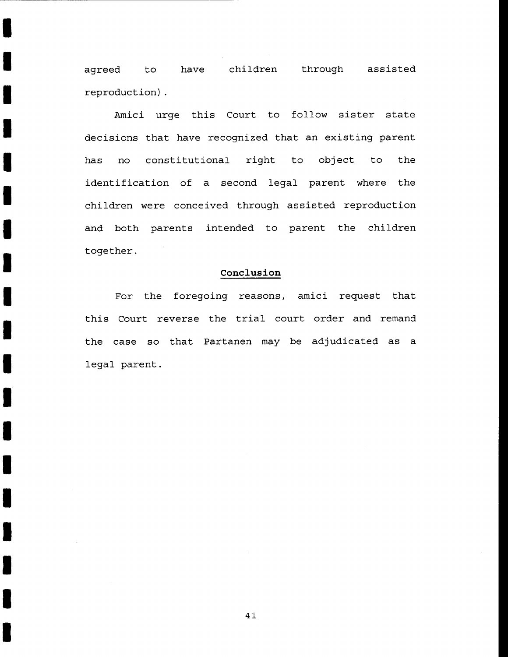agreed to have children through assisted reproduction) .

I

I

I

I

I

I

I

I

I

I

I

I

I

I

I

I

I

I

I

Amici urge this Court to follow sister state decisions that have recognized that an existing parent has no constitutional right to object to the identification of a second legal parent where the children were conceived through assisted reproduction and both parents intended to parent the children together.

## **Conclusion**

For the foregoing reasons, amici request that this Court reverse the trial court order and remand the case so that Partanen may be adjudicated as a legal parent.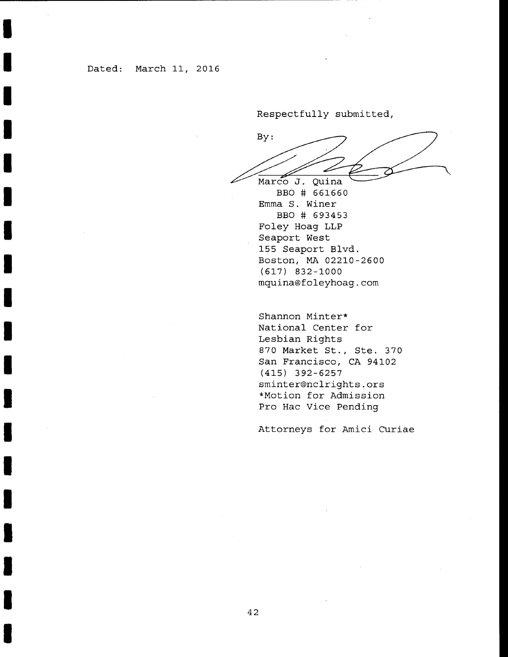I

I

I

I

I

I

I

I

I

I

I

I

I

I

I

I

I

I

Respectfully submitted,

By: Marco J. Quina

BBO # 661660 Emma S. Winer BBO # 693453 Foley Hoag LLP Seaport West 155 Seaport Blvd. Boston, MA 02210-2600 (617) 832-1000 mquina®foleyhoag.com

Shannon Minter\* National Center for Lesbian Rights 870 Market St., Ste. 370 San Francisco, CA 94102 (415) 392-6257 sminter®nclrights.ors \*Motion for Admission Pro Hac Vice Pending

Attorneys for Amici Curiae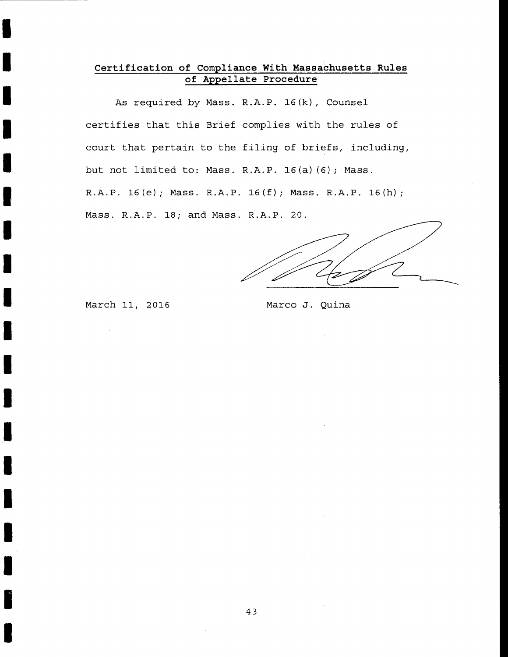# **Certification of Compliance With Massachusetts Rules of Appellate Procedure**

As required by Mass. R.A.P. 16(k), Counsel certifies that this Brief complies with the rules of court that pertain to the filing of briefs, including, but not limited to: Mass. R.A.P. 16(a) (6); Mass. R.A.P. 16(e); Mass. R.A.P. 16(f); Mass. R.A.P. 16(h); Mass. R.A.P. 18; and Mass. R.A.P. 20.

March 11, 2016 Marco J. Quina

I

I

I

I

I

I

I

I

I

I

I

I

I

I

I

I

I

I